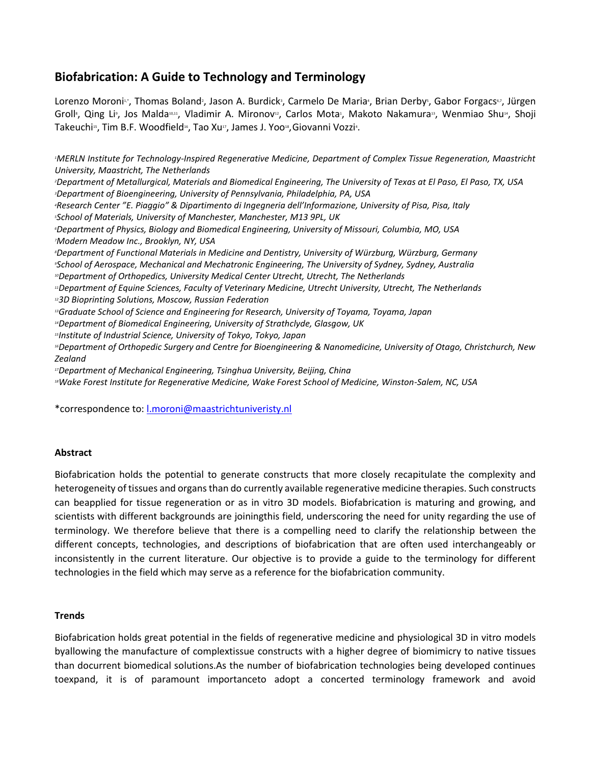# **Biofabrication: A Guide to Technology and Terminology**

Lorenzo Moroni<sup>,</sup>, Thomas Boland<sup>,</sup>, Jason A. Burdick<sup>,</sup>, Carmelo De Maria<sup>,</sup>, Brian Derby<sup>,</sup>, Gabor Forgacs<sup>,</sup>, Jürgen Groll<sup>®</sup>, Qing Li<sup>®</sup>, Jos Malda<sup>10,11</sup>, Vladimir A. Mironov<sup>12</sup>, Carlos Mota<sup>1</sup>, Makoto Nakamura<sup>13</sup>, Wenmiao Shu<sup>14</sup>, Shoji Takeuchi15, Tim B.F. Woodfield16, Tao Xu17, James J. Yoo18, Giovanni Vozzi4.

*MERLN Institute for Technology-Inspired Regenerative Medicine, Department of Complex Tissue Regeneration, Maastricht University, Maastricht, The Netherlands Department of Metallurgical, Materials and Biomedical Engineering, The University of Texas at El Paso, El Paso, TX, USA Department of Bioengineering, University of Pennsylvania, Philadelphia, PA, USA Research Center "E. Piaggio" & Dipartimento di Ingegneria dell'Informazione, University of Pisa, Pisa, Italy School of Materials, University of Manchester, Manchester, M13 9PL, UK Department of Physics, Biology and Biomedical Engineering, University of Missouri, Columbia, MO, USA Modern Meadow Inc., Brooklyn, NY, USA Department of Functional Materials in Medicine and Dentistry, University of Würzburg, Würzburg, Germany School of Aerospace, Mechanical and Mechatronic Engineering, The University of Sydney, Sydney, Australia Department of Orthopedics, University Medical Center Utrecht, Utrecht, The Netherlands Department of Equine Sciences, Faculty of Veterinary Medicine, Utrecht University, Utrecht, The Netherlands 3D Bioprinting Solutions, Moscow, Russian Federation Graduate School of Science and Engineering for Research, University of Toyama, Toyama, Japan Department of Biomedical Engineering, University of Strathclyde, Glasgow, UK Institute of Industrial Science, University of Tokyo, Tokyo, Japan Department of Orthopedic Surgery and Centre for Bioengineering & Nanomedicine, University of Otago, Christchurch, New Zealand Department of Mechanical Engineering, Tsinghua University, Beijing, China Wake Forest Institute for Regenerative Medicine, Wake Forest School of Medicine, Winston-Salem, NC, USA*

\*correspondence to: [l.moroni@maastrichtuniveristy.nl](mailto:l.moroni@maastrichtuniveristy.nl)

## **Abstract**

Biofabrication holds the potential to generate constructs that more closely recapitulate the complexity and heterogeneity of tissues and organs than do currently available regenerative medicine therapies. Such constructs can beapplied for tissue regeneration or as in vitro 3D models. Biofabrication is maturing and growing, and scientists with different backgrounds are joiningthis field, underscoring the need for unity regarding the use of terminology. We therefore believe that there is a compelling need to clarify the relationship between the different concepts, technologies, and descriptions of biofabrication that are often used interchangeably or inconsistently in the current literature. Our objective is to provide a guide to the terminology for different technologies in the field which may serve as a reference for the biofabrication community.

## **Trends**

Biofabrication holds great potential in the fields of regenerative medicine and physiological 3D in vitro models byallowing the manufacture of complextissue constructs with a higher degree of biomimicry to native tissues than docurrent biomedical solutions.As the number of biofabrication technologies being developed continues toexpand, it is of paramount importanceto adopt a concerted terminology framework and avoid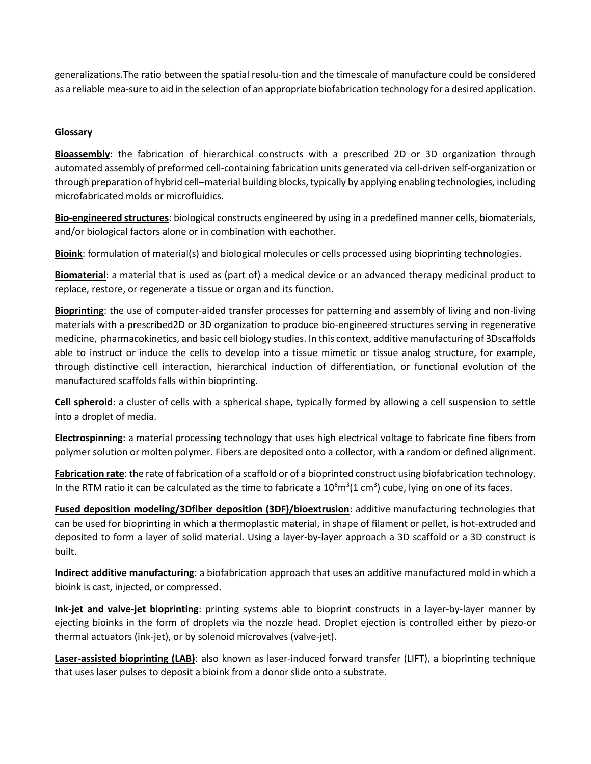generalizations.The ratio between the spatial resolu-tion and the timescale of manufacture could be considered as a reliable mea-sure to aid in the selection of an appropriate biofabrication technology for a desired application.

# **Glossary**

**Bioassembly**: the fabrication of hierarchical constructs with a prescribed 2D or 3D organization through automated assembly of preformed cell-containing fabrication units generated via cell-driven self-organization or through preparation of hybrid cell–material building blocks, typically by applying enabling technologies, including microfabricated molds or microfluidics.

**Bio-engineered structures**: biological constructs engineered by using in a predefined manner cells, biomaterials, and/or biological factors alone or in combination with eachother.

**Bioink**: formulation of material(s) and biological molecules or cells processed using bioprinting technologies.

**Biomaterial**: a material that is used as (part of) a medical device or an advanced therapy medicinal product to replace, restore, or regenerate a tissue or organ and its function.

**Bioprinting**: the use of computer-aided transfer processes for patterning and assembly of living and non-living materials with a prescribed2D or 3D organization to produce bio-engineered structures serving in regenerative medicine, pharmacokinetics, and basic cell biology studies. In this context, additive manufacturing of 3Dscaffolds able to instruct or induce the cells to develop into a tissue mimetic or tissue analog structure, for example, through distinctive cell interaction, hierarchical induction of differentiation, or functional evolution of the manufactured scaffolds falls within bioprinting.

**Cell spheroid**: a cluster of cells with a spherical shape, typically formed by allowing a cell suspension to settle into a droplet of media.

**Electrospinning**: a material processing technology that uses high electrical voltage to fabricate fine fibers from polymer solution or molten polymer. Fibers are deposited onto a collector, with a random or defined alignment.

**Fabrication rate**: the rate of fabrication of a scaffold or of a bioprinted construct using biofabrication technology. In the RTM ratio it can be calculated as the time to fabricate a  $10^6$ m<sup>3</sup>(1 cm<sup>3</sup>) cube, lying on one of its faces.

**Fused deposition modeling/3Dfiber deposition (3DF)/bioextrusion**: additive manufacturing technologies that can be used for bioprinting in which a thermoplastic material, in shape of filament or pellet, is hot-extruded and deposited to form a layer of solid material. Using a layer-by-layer approach a 3D scaffold or a 3D construct is built.

**Indirect additive manufacturing**: a biofabrication approach that uses an additive manufactured mold in which a bioink is cast, injected, or compressed.

**Ink-jet and valve-jet bioprinting**: printing systems able to bioprint constructs in a layer-by-layer manner by ejecting bioinks in the form of droplets via the nozzle head. Droplet ejection is controlled either by piezo-or thermal actuators (ink-jet), or by solenoid microvalves (valve-jet).

**Laser-assisted bioprinting (LAB)**: also known as laser-induced forward transfer (LIFT), a bioprinting technique that uses laser pulses to deposit a bioink from a donor slide onto a substrate.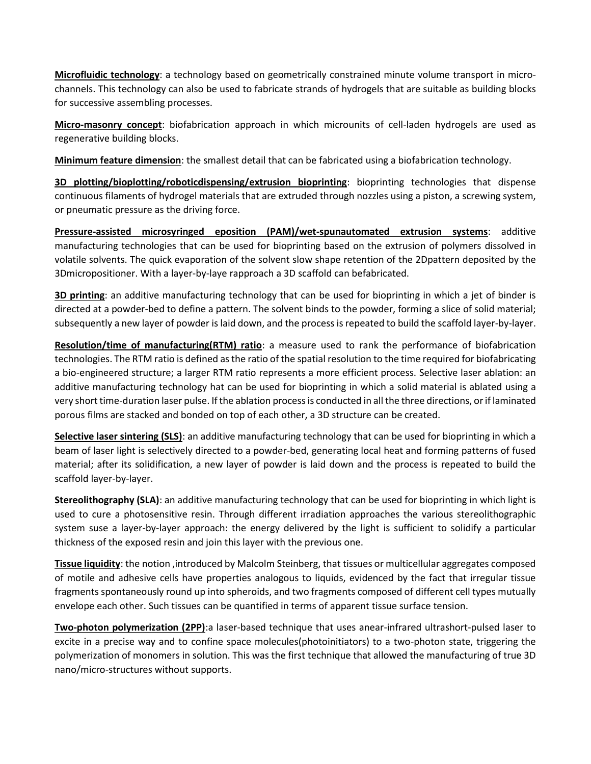**Microfluidic technology**: a technology based on geometrically constrained minute volume transport in microchannels. This technology can also be used to fabricate strands of hydrogels that are suitable as building blocks for successive assembling processes.

**Micro-masonry concept**: biofabrication approach in which microunits of cell-laden hydrogels are used as regenerative building blocks.

**Minimum feature dimension**: the smallest detail that can be fabricated using a biofabrication technology.

**3D plotting/bioplotting/roboticdispensing/extrusion bioprinting**: bioprinting technologies that dispense continuous filaments of hydrogel materials that are extruded through nozzles using a piston, a screwing system, or pneumatic pressure as the driving force.

**Pressure-assisted microsyringed eposition (PAM)/wet-spunautomated extrusion systems**: additive manufacturing technologies that can be used for bioprinting based on the extrusion of polymers dissolved in volatile solvents. The quick evaporation of the solvent slow shape retention of the 2Dpattern deposited by the 3Dmicropositioner. With a layer-by-laye rapproach a 3D scaffold can befabricated.

**3D printing**: an additive manufacturing technology that can be used for bioprinting in which a jet of binder is directed at a powder-bed to define a pattern. The solvent binds to the powder, forming a slice of solid material; subsequently a new layer of powder is laid down, and the process is repeated to build the scaffold layer-by-layer.

**Resolution/time of manufacturing(RTM) ratio**: a measure used to rank the performance of biofabrication technologies. The RTM ratio is defined as the ratio of the spatial resolution to the time required for biofabricating a bio-engineered structure; a larger RTM ratio represents a more efficient process. Selective laser ablation: an additive manufacturing technology hat can be used for bioprinting in which a solid material is ablated using a very short time-duration laser pulse. If the ablation process is conducted in all the three directions, or if laminated porous films are stacked and bonded on top of each other, a 3D structure can be created.

**Selective laser sintering (SLS)**: an additive manufacturing technology that can be used for bioprinting in which a beam of laser light is selectively directed to a powder-bed, generating local heat and forming patterns of fused material; after its solidification, a new layer of powder is laid down and the process is repeated to build the scaffold layer-by-layer.

**Stereolithography (SLA)**: an additive manufacturing technology that can be used for bioprinting in which light is used to cure a photosensitive resin. Through different irradiation approaches the various stereolithographic system suse a layer-by-layer approach: the energy delivered by the light is sufficient to solidify a particular thickness of the exposed resin and join this layer with the previous one.

**Tissue liquidity**: the notion ,introduced by Malcolm Steinberg, that tissues or multicellular aggregates composed of motile and adhesive cells have properties analogous to liquids, evidenced by the fact that irregular tissue fragments spontaneously round up into spheroids, and two fragments composed of different cell types mutually envelope each other. Such tissues can be quantified in terms of apparent tissue surface tension.

**Two-photon polymerization (2PP)**:a laser-based technique that uses anear-infrared ultrashort-pulsed laser to excite in a precise way and to confine space molecules(photoinitiators) to a two-photon state, triggering the polymerization of monomers in solution. This was the first technique that allowed the manufacturing of true 3D nano/micro-structures without supports.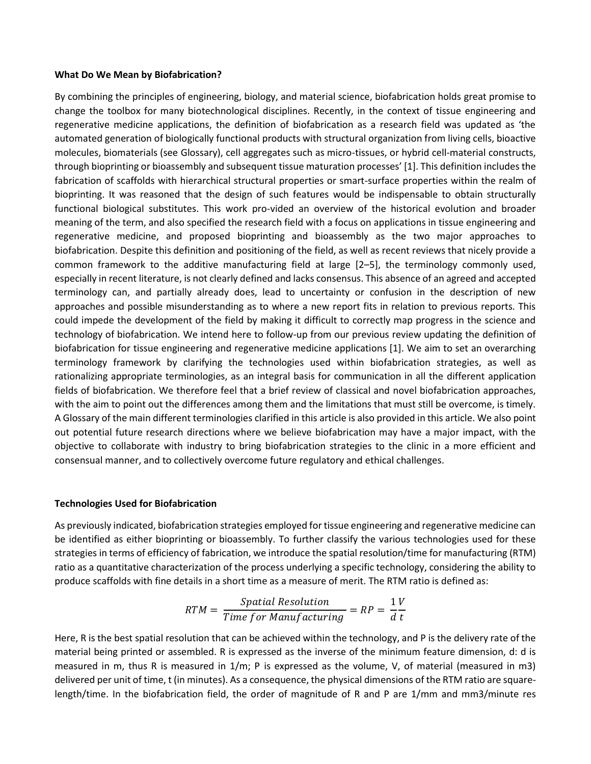#### **What Do We Mean by Biofabrication?**

By combining the principles of engineering, biology, and material science, biofabrication holds great promise to change the toolbox for many biotechnological disciplines. Recently, in the context of tissue engineering and regenerative medicine applications, the definition of biofabrication as a research field was updated as 'the automated generation of biologically functional products with structural organization from living cells, bioactive molecules, biomaterials (see Glossary), cell aggregates such as micro-tissues, or hybrid cell-material constructs, through bioprinting or bioassembly and subsequent tissue maturation processes' [1]. This definition includes the fabrication of scaffolds with hierarchical structural properties or smart-surface properties within the realm of bioprinting. It was reasoned that the design of such features would be indispensable to obtain structurally functional biological substitutes. This work pro-vided an overview of the historical evolution and broader meaning of the term, and also specified the research field with a focus on applications in tissue engineering and regenerative medicine, and proposed bioprinting and bioassembly as the two major approaches to biofabrication. Despite this definition and positioning of the field, as well as recent reviews that nicely provide a common framework to the additive manufacturing field at large [2–5], the terminology commonly used, especially in recent literature, is not clearly defined and lacks consensus. This absence of an agreed and accepted terminology can, and partially already does, lead to uncertainty or confusion in the description of new approaches and possible misunderstanding as to where a new report fits in relation to previous reports. This could impede the development of the field by making it difficult to correctly map progress in the science and technology of biofabrication. We intend here to follow-up from our previous review updating the definition of biofabrication for tissue engineering and regenerative medicine applications [1]. We aim to set an overarching terminology framework by clarifying the technologies used within biofabrication strategies, as well as rationalizing appropriate terminologies, as an integral basis for communication in all the different application fields of biofabrication. We therefore feel that a brief review of classical and novel biofabrication approaches, with the aim to point out the differences among them and the limitations that must still be overcome, is timely. A Glossary of the main different terminologies clarified in this article is also provided in this article. We also point out potential future research directions where we believe biofabrication may have a major impact, with the objective to collaborate with industry to bring biofabrication strategies to the clinic in a more efficient and consensual manner, and to collectively overcome future regulatory and ethical challenges.

### **Technologies Used for Biofabrication**

As previously indicated, biofabrication strategies employed for tissue engineering and regenerative medicine can be identified as either bioprinting or bioassembly. To further classify the various technologies used for these strategies in terms of efficiency of fabrication, we introduce the spatial resolution/time for manufacturing (RTM) ratio as a quantitative characterization of the process underlying a specific technology, considering the ability to produce scaffolds with fine details in a short time as a measure of merit. The RTM ratio is defined as:

$$
RTM = \frac{Spatial\ Resolution}{Time\ for\ Manufacturing} = RP = \frac{1}{d} \frac{V}{t}
$$

Here, R is the best spatial resolution that can be achieved within the technology, and P is the delivery rate of the material being printed or assembled. R is expressed as the inverse of the minimum feature dimension, d: d is measured in m, thus R is measured in 1/m; P is expressed as the volume, V, of material (measured in m3) delivered per unit of time, t (in minutes). As a consequence, the physical dimensions of the RTM ratio are squarelength/time. In the biofabrication field, the order of magnitude of R and P are 1/mm and mm3/minute res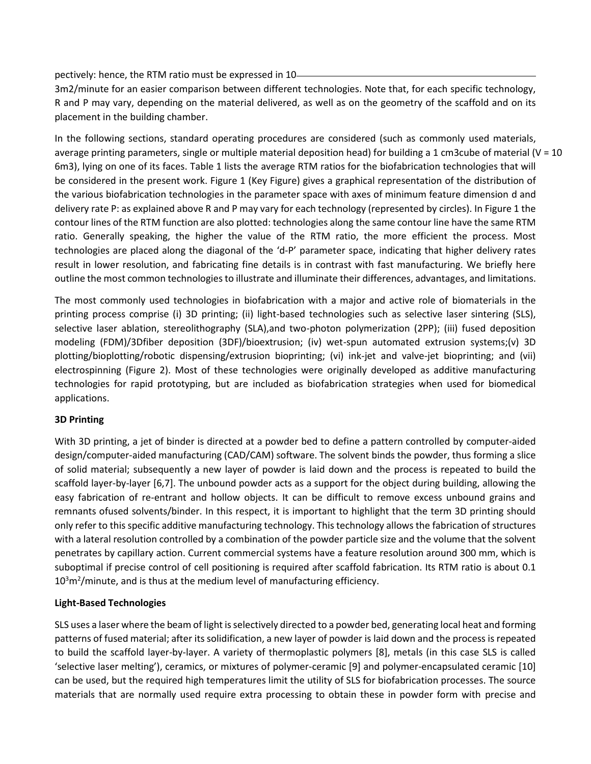pectively: hence, the RTM ratio must be expressed in 10

3m2/minute for an easier comparison between different technologies. Note that, for each specific technology, R and P may vary, depending on the material delivered, as well as on the geometry of the scaffold and on its placement in the building chamber.

In the following sections, standard operating procedures are considered (such as commonly used materials, average printing parameters, single or multiple material deposition head) for building a 1 cm3cube of material (V = 10 6m3), lying on one of its faces. Table 1 lists the average RTM ratios for the biofabrication technologies that will be considered in the present work. Figure 1 (Key Figure) gives a graphical representation of the distribution of the various biofabrication technologies in the parameter space with axes of minimum feature dimension d and delivery rate P: as explained above R and P may vary for each technology (represented by circles). In Figure 1 the contour lines of the RTM function are also plotted: technologies along the same contour line have the same RTM ratio. Generally speaking, the higher the value of the RTM ratio, the more efficient the process. Most technologies are placed along the diagonal of the 'd-P' parameter space, indicating that higher delivery rates result in lower resolution, and fabricating fine details is in contrast with fast manufacturing. We briefly here outline the most common technologies to illustrate and illuminate their differences, advantages, and limitations.

The most commonly used technologies in biofabrication with a major and active role of biomaterials in the printing process comprise (i) 3D printing; (ii) light-based technologies such as selective laser sintering (SLS), selective laser ablation, stereolithography (SLA),and two-photon polymerization (2PP); (iii) fused deposition modeling (FDM)/3Dfiber deposition (3DF)/bioextrusion; (iv) wet-spun automated extrusion systems;(v) 3D plotting/bioplotting/robotic dispensing/extrusion bioprinting; (vi) ink-jet and valve-jet bioprinting; and (vii) electrospinning (Figure 2). Most of these technologies were originally developed as additive manufacturing technologies for rapid prototyping, but are included as biofabrication strategies when used for biomedical applications.

## **3D Printing**

With 3D printing, a jet of binder is directed at a powder bed to define a pattern controlled by computer-aided design/computer-aided manufacturing (CAD/CAM) software. The solvent binds the powder, thus forming a slice of solid material; subsequently a new layer of powder is laid down and the process is repeated to build the scaffold layer-by-layer [6,7]. The unbound powder acts as a support for the object during building, allowing the easy fabrication of re-entrant and hollow objects. It can be difficult to remove excess unbound grains and remnants ofused solvents/binder. In this respect, it is important to highlight that the term 3D printing should only refer to this specific additive manufacturing technology. This technology allows the fabrication of structures with a lateral resolution controlled by a combination of the powder particle size and the volume that the solvent penetrates by capillary action. Current commercial systems have a feature resolution around 300 mm, which is suboptimal if precise control of cell positioning is required after scaffold fabrication. Its RTM ratio is about 0.1  $10<sup>3</sup>m<sup>2</sup>/$ minute, and is thus at the medium level of manufacturing efficiency.

# **Light-Based Technologies**

SLS uses a laser where the beam of light is selectively directed to a powder bed, generating local heat and forming patterns of fused material; after its solidification, a new layer of powder is laid down and the process is repeated to build the scaffold layer-by-layer. A variety of thermoplastic polymers [8], metals (in this case SLS is called 'selective laser melting'), ceramics, or mixtures of polymer-ceramic [9] and polymer-encapsulated ceramic [10] can be used, but the required high temperatures limit the utility of SLS for biofabrication processes. The source materials that are normally used require extra processing to obtain these in powder form with precise and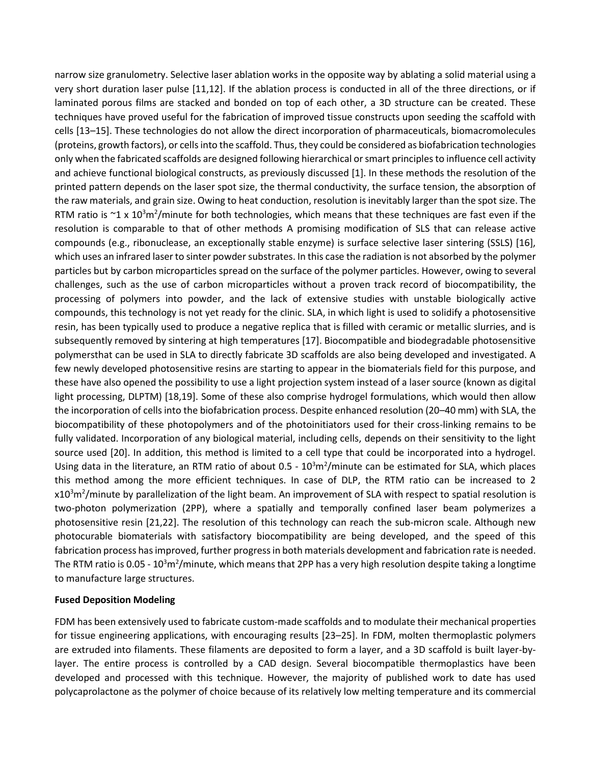narrow size granulometry. Selective laser ablation works in the opposite way by ablating a solid material using a very short duration laser pulse [11,12]. If the ablation process is conducted in all of the three directions, or if laminated porous films are stacked and bonded on top of each other, a 3D structure can be created. These techniques have proved useful for the fabrication of improved tissue constructs upon seeding the scaffold with cells [13–15]. These technologies do not allow the direct incorporation of pharmaceuticals, biomacromolecules (proteins, growth factors), or cells into the scaffold. Thus, they could be considered as biofabrication technologies only when the fabricated scaffolds are designed following hierarchical or smart principles to influence cell activity and achieve functional biological constructs, as previously discussed [1]. In these methods the resolution of the printed pattern depends on the laser spot size, the thermal conductivity, the surface tension, the absorption of the raw materials, and grain size. Owing to heat conduction, resolution is inevitably larger than the spot size. The RTM ratio is  $\sim$ 1 x 10<sup>3</sup>m<sup>2</sup>/minute for both technologies, which means that these techniques are fast even if the resolution is comparable to that of other methods A promising modification of SLS that can release active compounds (e.g., ribonuclease, an exceptionally stable enzyme) is surface selective laser sintering (SSLS) [16], which uses an infrared laser to sinter powder substrates. In this case the radiation is not absorbed by the polymer particles but by carbon microparticles spread on the surface of the polymer particles. However, owing to several challenges, such as the use of carbon microparticles without a proven track record of biocompatibility, the processing of polymers into powder, and the lack of extensive studies with unstable biologically active compounds, this technology is not yet ready for the clinic. SLA, in which light is used to solidify a photosensitive resin, has been typically used to produce a negative replica that is filled with ceramic or metallic slurries, and is subsequently removed by sintering at high temperatures [17]. Biocompatible and biodegradable photosensitive polymersthat can be used in SLA to directly fabricate 3D scaffolds are also being developed and investigated. A few newly developed photosensitive resins are starting to appear in the biomaterials field for this purpose, and these have also opened the possibility to use a light projection system instead of a laser source (known as digital light processing, DLPTM) [18,19]. Some of these also comprise hydrogel formulations, which would then allow the incorporation of cells into the biofabrication process. Despite enhanced resolution (20–40 mm) with SLA, the biocompatibility of these photopolymers and of the photoinitiators used for their cross-linking remains to be fully validated. Incorporation of any biological material, including cells, depends on their sensitivity to the light source used [20]. In addition, this method is limited to a cell type that could be incorporated into a hydrogel. Using data in the literature, an RTM ratio of about  $0.5 - 10<sup>3</sup>m<sup>2</sup>/minute$  can be estimated for SLA, which places this method among the more efficient techniques. In case of DLP, the RTM ratio can be increased to 2 x10<sup>3</sup>m<sup>2</sup>/minute by parallelization of the light beam. An improvement of SLA with respect to spatial resolution is two-photon polymerization (2PP), where a spatially and temporally confined laser beam polymerizes a photosensitive resin [21,22]. The resolution of this technology can reach the sub-micron scale. Although new photocurable biomaterials with satisfactory biocompatibility are being developed, and the speed of this fabrication process has improved, further progress in both materials development and fabrication rate is needed. The RTM ratio is 0.05 - 10<sup>3</sup>m<sup>2</sup>/minute, which means that 2PP has a very high resolution despite taking a longtime to manufacture large structures.

## **Fused Deposition Modeling**

FDM has been extensively used to fabricate custom-made scaffolds and to modulate their mechanical properties for tissue engineering applications, with encouraging results [23–25]. In FDM, molten thermoplastic polymers are extruded into filaments. These filaments are deposited to form a layer, and a 3D scaffold is built layer-bylayer. The entire process is controlled by a CAD design. Several biocompatible thermoplastics have been developed and processed with this technique. However, the majority of published work to date has used polycaprolactone as the polymer of choice because of its relatively low melting temperature and its commercial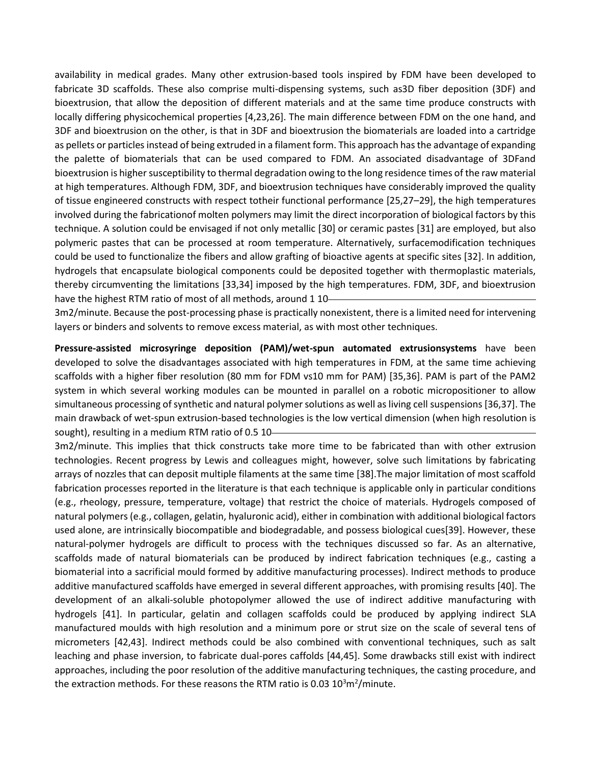availability in medical grades. Many other extrusion-based tools inspired by FDM have been developed to fabricate 3D scaffolds. These also comprise multi-dispensing systems, such as3D fiber deposition (3DF) and bioextrusion, that allow the deposition of different materials and at the same time produce constructs with locally differing physicochemical properties [4,23,26]. The main difference between FDM on the one hand, and 3DF and bioextrusion on the other, is that in 3DF and bioextrusion the biomaterials are loaded into a cartridge as pellets or particles instead of being extruded in a filament form. This approach has the advantage of expanding the palette of biomaterials that can be used compared to FDM. An associated disadvantage of 3DFand bioextrusion is higher susceptibility to thermal degradation owing to the long residence times of the raw material at high temperatures. Although FDM, 3DF, and bioextrusion techniques have considerably improved the quality of tissue engineered constructs with respect totheir functional performance [25,27–29], the high temperatures involved during the fabricationof molten polymers may limit the direct incorporation of biological factors by this technique. A solution could be envisaged if not only metallic [30] or ceramic pastes [31] are employed, but also polymeric pastes that can be processed at room temperature. Alternatively, surfacemodification techniques could be used to functionalize the fibers and allow grafting of bioactive agents at specific sites [32]. In addition, hydrogels that encapsulate biological components could be deposited together with thermoplastic materials, thereby circumventing the limitations [33,34] imposed by the high temperatures. FDM, 3DF, and bioextrusion have the highest RTM ratio of most of all methods, around 1 10-

3m2/minute. Because the post-processing phase is practically nonexistent, there is a limited need for intervening layers or binders and solvents to remove excess material, as with most other techniques.

**Pressure-assisted microsyringe deposition (PAM)/wet-spun automated extrusionsystems** have been developed to solve the disadvantages associated with high temperatures in FDM, at the same time achieving scaffolds with a higher fiber resolution (80 mm for FDM vs10 mm for PAM) [35,36]. PAM is part of the PAM2 system in which several working modules can be mounted in parallel on a robotic micropositioner to allow simultaneous processing of synthetic and natural polymer solutions as well as living cell suspensions [36,37]. The main drawback of wet-spun extrusion-based technologies is the low vertical dimension (when high resolution is sought), resulting in a medium RTM ratio of 0.5 10

3m2/minute. This implies that thick constructs take more time to be fabricated than with other extrusion technologies. Recent progress by Lewis and colleagues might, however, solve such limitations by fabricating arrays of nozzles that can deposit multiple filaments at the same time [38].The major limitation of most scaffold fabrication processes reported in the literature is that each technique is applicable only in particular conditions (e.g., rheology, pressure, temperature, voltage) that restrict the choice of materials. Hydrogels composed of natural polymers (e.g., collagen, gelatin, hyaluronic acid), either in combination with additional biological factors used alone, are intrinsically biocompatible and biodegradable, and possess biological cues[39]. However, these natural-polymer hydrogels are difficult to process with the techniques discussed so far. As an alternative, scaffolds made of natural biomaterials can be produced by indirect fabrication techniques (e.g., casting a biomaterial into a sacrificial mould formed by additive manufacturing processes). Indirect methods to produce additive manufactured scaffolds have emerged in several different approaches, with promising results [40]. The development of an alkali-soluble photopolymer allowed the use of indirect additive manufacturing with hydrogels [41]. In particular, gelatin and collagen scaffolds could be produced by applying indirect SLA manufactured moulds with high resolution and a minimum pore or strut size on the scale of several tens of micrometers [42,43]. Indirect methods could be also combined with conventional techniques, such as salt leaching and phase inversion, to fabricate dual-pores caffolds [44,45]. Some drawbacks still exist with indirect approaches, including the poor resolution of the additive manufacturing techniques, the casting procedure, and the extraction methods. For these reasons the RTM ratio is 0.03  $10^3$ m<sup>2</sup>/minute.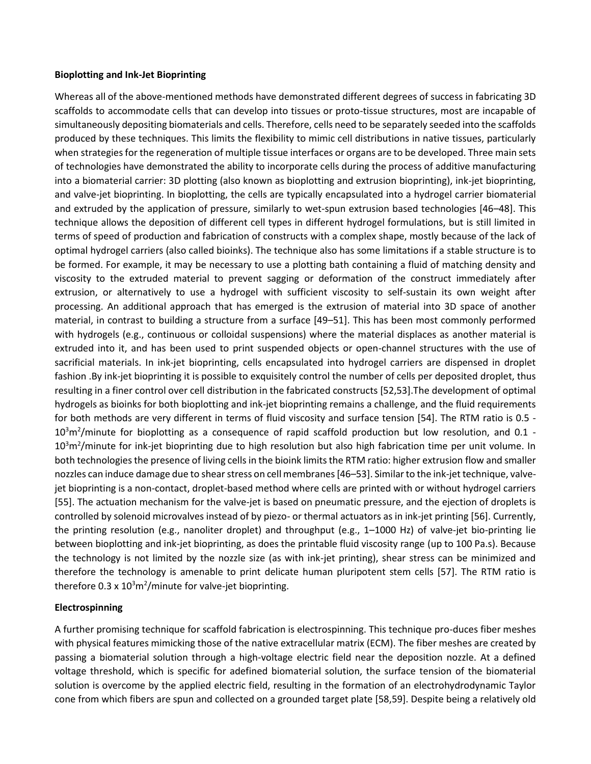### **Bioplotting and Ink-Jet Bioprinting**

Whereas all of the above-mentioned methods have demonstrated different degrees of success in fabricating 3D scaffolds to accommodate cells that can develop into tissues or proto-tissue structures, most are incapable of simultaneously depositing biomaterials and cells. Therefore, cells need to be separately seeded into the scaffolds produced by these techniques. This limits the flexibility to mimic cell distributions in native tissues, particularly when strategies for the regeneration of multiple tissue interfaces or organs are to be developed. Three main sets of technologies have demonstrated the ability to incorporate cells during the process of additive manufacturing into a biomaterial carrier: 3D plotting (also known as bioplotting and extrusion bioprinting), ink-jet bioprinting, and valve-jet bioprinting. In bioplotting, the cells are typically encapsulated into a hydrogel carrier biomaterial and extruded by the application of pressure, similarly to wet-spun extrusion based technologies [46–48]. This technique allows the deposition of different cell types in different hydrogel formulations, but is still limited in terms of speed of production and fabrication of constructs with a complex shape, mostly because of the lack of optimal hydrogel carriers (also called bioinks). The technique also has some limitations if a stable structure is to be formed. For example, it may be necessary to use a plotting bath containing a fluid of matching density and viscosity to the extruded material to prevent sagging or deformation of the construct immediately after extrusion, or alternatively to use a hydrogel with sufficient viscosity to self-sustain its own weight after processing. An additional approach that has emerged is the extrusion of material into 3D space of another material, in contrast to building a structure from a surface [49–51]. This has been most commonly performed with hydrogels (e.g., continuous or colloidal suspensions) where the material displaces as another material is extruded into it, and has been used to print suspended objects or open-channel structures with the use of sacrificial materials. In ink-jet bioprinting, cells encapsulated into hydrogel carriers are dispensed in droplet fashion .By ink-jet bioprinting it is possible to exquisitely control the number of cells per deposited droplet, thus resulting in a finer control over cell distribution in the fabricated constructs [52,53].The development of optimal hydrogels as bioinks for both bioplotting and ink-jet bioprinting remains a challenge, and the fluid requirements for both methods are very different in terms of fluid viscosity and surface tension [54]. The RTM ratio is 0.5 -  $10^3$ m<sup>2</sup>/minute for bioplotting as a consequence of rapid scaffold production but low resolution, and 0.1 -10<sup>3</sup>m<sup>2</sup>/minute for ink-jet bioprinting due to high resolution but also high fabrication time per unit volume. In both technologies the presence of living cells in the bioink limits the RTM ratio: higher extrusion flow and smaller nozzles can induce damage due to shear stress on cell membranes [46–53]. Similar to the ink-jet technique, valvejet bioprinting is a non-contact, droplet-based method where cells are printed with or without hydrogel carriers [55]. The actuation mechanism for the valve-jet is based on pneumatic pressure, and the ejection of droplets is controlled by solenoid microvalves instead of by piezo- or thermal actuators as in ink-jet printing [56]. Currently, the printing resolution (e.g., nanoliter droplet) and throughput (e.g., 1–1000 Hz) of valve-jet bio-printing lie between bioplotting and ink-jet bioprinting, as does the printable fluid viscosity range (up to 100 Pa.s). Because the technology is not limited by the nozzle size (as with ink-jet printing), shear stress can be minimized and therefore the technology is amenable to print delicate human pluripotent stem cells [57]. The RTM ratio is therefore  $0.3 \times 10^3$ m<sup>2</sup>/minute for valve-jet bioprinting.

## **Electrospinning**

A further promising technique for scaffold fabrication is electrospinning. This technique pro-duces fiber meshes with physical features mimicking those of the native extracellular matrix (ECM). The fiber meshes are created by passing a biomaterial solution through a high-voltage electric field near the deposition nozzle. At a defined voltage threshold, which is specific for adefined biomaterial solution, the surface tension of the biomaterial solution is overcome by the applied electric field, resulting in the formation of an electrohydrodynamic Taylor cone from which fibers are spun and collected on a grounded target plate [58,59]. Despite being a relatively old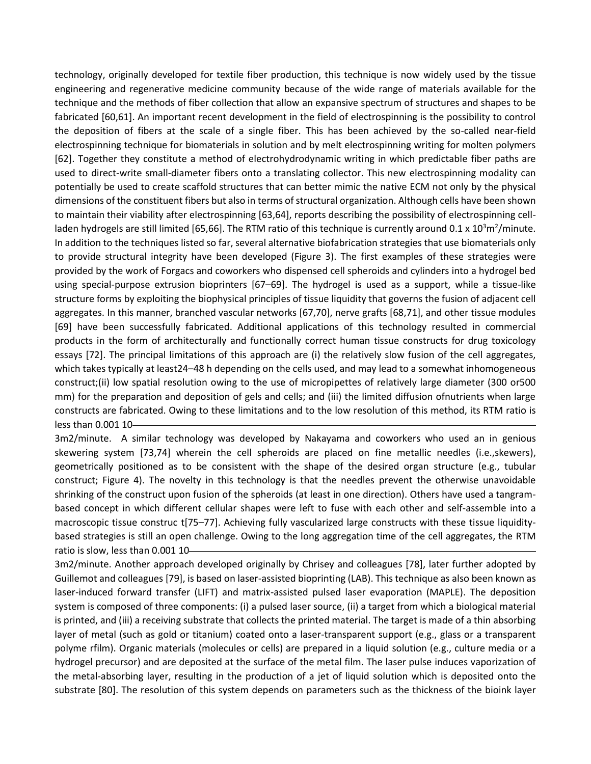technology, originally developed for textile fiber production, this technique is now widely used by the tissue engineering and regenerative medicine community because of the wide range of materials available for the technique and the methods of fiber collection that allow an expansive spectrum of structures and shapes to be fabricated [60,61]. An important recent development in the field of electrospinning is the possibility to control the deposition of fibers at the scale of a single fiber. This has been achieved by the so-called near-field electrospinning technique for biomaterials in solution and by melt electrospinning writing for molten polymers [62]. Together they constitute a method of electrohydrodynamic writing in which predictable fiber paths are used to direct-write small-diameter fibers onto a translating collector. This new electrospinning modality can potentially be used to create scaffold structures that can better mimic the native ECM not only by the physical dimensions of the constituent fibers but also in terms of structural organization. Although cells have been shown to maintain their viability after electrospinning [63,64], reports describing the possibility of electrospinning cellladen hydrogels are still limited [65,66]. The RTM ratio of this technique is currently around 0.1 x 10<sup>3</sup>m<sup>2</sup>/minute. In addition to the techniques listed so far, several alternative biofabrication strategies that use biomaterials only to provide structural integrity have been developed (Figure 3). The first examples of these strategies were provided by the work of Forgacs and coworkers who dispensed cell spheroids and cylinders into a hydrogel bed using special-purpose extrusion bioprinters [67–69]. The hydrogel is used as a support, while a tissue-like structure forms by exploiting the biophysical principles of tissue liquidity that governs the fusion of adjacent cell aggregates. In this manner, branched vascular networks [67,70], nerve grafts [68,71], and other tissue modules [69] have been successfully fabricated. Additional applications of this technology resulted in commercial products in the form of architecturally and functionally correct human tissue constructs for drug toxicology essays [72]. The principal limitations of this approach are (i) the relatively slow fusion of the cell aggregates, which takes typically at least24–48 h depending on the cells used, and may lead to a somewhat inhomogeneous construct;(ii) low spatial resolution owing to the use of micropipettes of relatively large diameter (300 or500 mm) for the preparation and deposition of gels and cells; and (iii) the limited diffusion ofnutrients when large constructs are fabricated. Owing to these limitations and to the low resolution of this method, its RTM ratio is less than 0.001 10

3m2/minute. A similar technology was developed by Nakayama and coworkers who used an in genious skewering system [73,74] wherein the cell spheroids are placed on fine metallic needles (i.e.,skewers), geometrically positioned as to be consistent with the shape of the desired organ structure (e.g., tubular construct; Figure 4). The novelty in this technology is that the needles prevent the otherwise unavoidable shrinking of the construct upon fusion of the spheroids (at least in one direction). Others have used a tangrambased concept in which different cellular shapes were left to fuse with each other and self-assemble into a macroscopic tissue construc t[75–77]. Achieving fully vascularized large constructs with these tissue liquiditybased strategies is still an open challenge. Owing to the long aggregation time of the cell aggregates, the RTM ratio is slow, less than 0.001 10

3m2/minute. Another approach developed originally by Chrisey and colleagues [78], later further adopted by Guillemot and colleagues [79], is based on laser-assisted bioprinting (LAB). This technique as also been known as laser-induced forward transfer (LIFT) and matrix-assisted pulsed laser evaporation (MAPLE). The deposition system is composed of three components: (i) a pulsed laser source, (ii) a target from which a biological material is printed, and (iii) a receiving substrate that collects the printed material. The target is made of a thin absorbing layer of metal (such as gold or titanium) coated onto a laser-transparent support (e.g., glass or a transparent polyme rfilm). Organic materials (molecules or cells) are prepared in a liquid solution (e.g., culture media or a hydrogel precursor) and are deposited at the surface of the metal film. The laser pulse induces vaporization of the metal-absorbing layer, resulting in the production of a jet of liquid solution which is deposited onto the substrate [80]. The resolution of this system depends on parameters such as the thickness of the bioink layer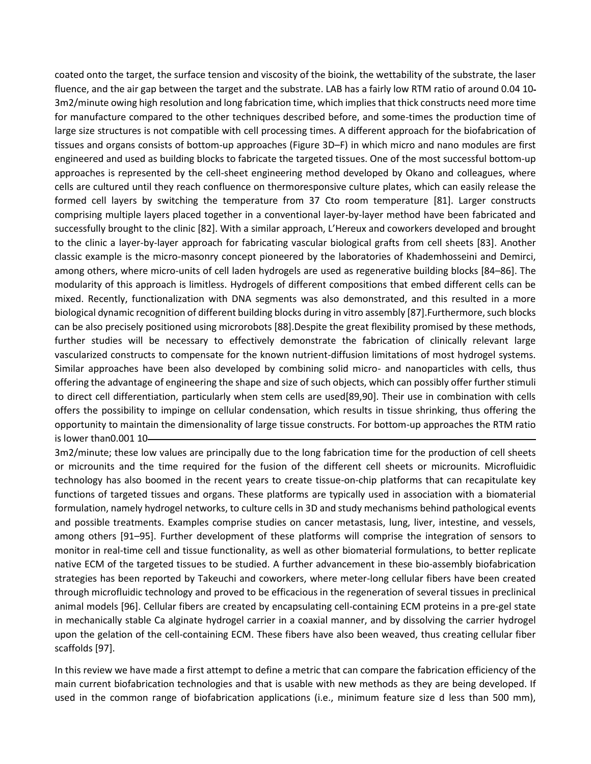coated onto the target, the surface tension and viscosity of the bioink, the wettability of the substrate, the laser fluence, and the air gap between the target and the substrate. LAB has a fairly low RTM ratio of around 0.04 10 3m2/minute owing high resolution and long fabrication time, which implies that thick constructs need more time for manufacture compared to the other techniques described before, and some-times the production time of large size structures is not compatible with cell processing times. A different approach for the biofabrication of tissues and organs consists of bottom-up approaches (Figure 3D–F) in which micro and nano modules are first engineered and used as building blocks to fabricate the targeted tissues. One of the most successful bottom-up approaches is represented by the cell-sheet engineering method developed by Okano and colleagues, where cells are cultured until they reach confluence on thermoresponsive culture plates, which can easily release the formed cell layers by switching the temperature from 37 Cto room temperature [81]. Larger constructs comprising multiple layers placed together in a conventional layer-by-layer method have been fabricated and successfully brought to the clinic [82]. With a similar approach, L'Hereux and coworkers developed and brought to the clinic a layer-by-layer approach for fabricating vascular biological grafts from cell sheets [83]. Another classic example is the micro-masonry concept pioneered by the laboratories of Khademhosseini and Demirci, among others, where micro-units of cell laden hydrogels are used as regenerative building blocks [84–86]. The modularity of this approach is limitless. Hydrogels of different compositions that embed different cells can be mixed. Recently, functionalization with DNA segments was also demonstrated, and this resulted in a more biological dynamic recognition of different building blocks during in vitro assembly [87].Furthermore, such blocks can be also precisely positioned using microrobots [88].Despite the great flexibility promised by these methods, further studies will be necessary to effectively demonstrate the fabrication of clinically relevant large vascularized constructs to compensate for the known nutrient-diffusion limitations of most hydrogel systems. Similar approaches have been also developed by combining solid micro- and nanoparticles with cells, thus offering the advantage of engineering the shape and size of such objects, which can possibly offer further stimuli to direct cell differentiation, particularly when stem cells are used[89,90]. Their use in combination with cells offers the possibility to impinge on cellular condensation, which results in tissue shrinking, thus offering the opportunity to maintain the dimensionality of large tissue constructs. For bottom-up approaches the RTM ratio is lower than0.001 10

3m2/minute; these low values are principally due to the long fabrication time for the production of cell sheets or microunits and the time required for the fusion of the different cell sheets or microunits. Microfluidic technology has also boomed in the recent years to create tissue-on-chip platforms that can recapitulate key functions of targeted tissues and organs. These platforms are typically used in association with a biomaterial formulation, namely hydrogel networks, to culture cells in 3D and study mechanisms behind pathological events and possible treatments. Examples comprise studies on cancer metastasis, lung, liver, intestine, and vessels, among others [91–95]. Further development of these platforms will comprise the integration of sensors to monitor in real-time cell and tissue functionality, as well as other biomaterial formulations, to better replicate native ECM of the targeted tissues to be studied. A further advancement in these bio-assembly biofabrication strategies has been reported by Takeuchi and coworkers, where meter-long cellular fibers have been created through microfluidic technology and proved to be efficacious in the regeneration of several tissues in preclinical animal models [96]. Cellular fibers are created by encapsulating cell-containing ECM proteins in a pre-gel state in mechanically stable Ca alginate hydrogel carrier in a coaxial manner, and by dissolving the carrier hydrogel upon the gelation of the cell-containing ECM. These fibers have also been weaved, thus creating cellular fiber scaffolds [97].

In this review we have made a first attempt to define a metric that can compare the fabrication efficiency of the main current biofabrication technologies and that is usable with new methods as they are being developed. If used in the common range of biofabrication applications (i.e., minimum feature size d less than 500 mm),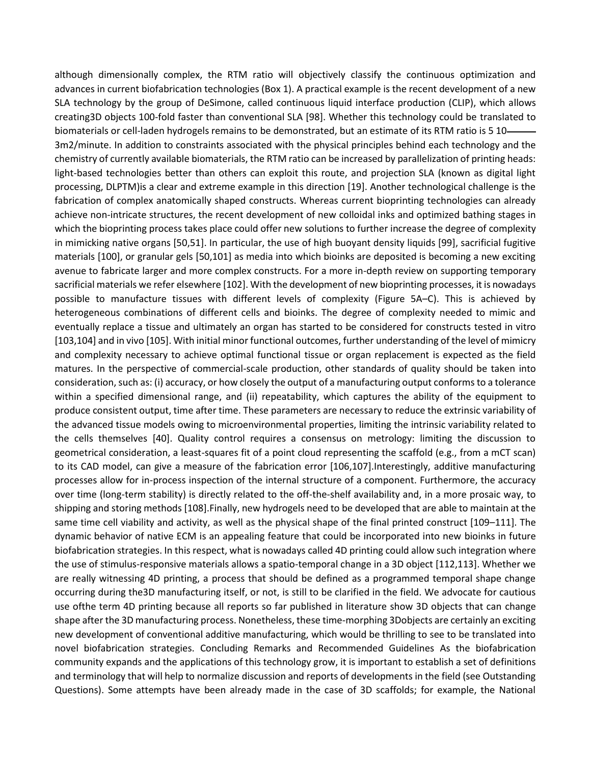although dimensionally complex, the RTM ratio will objectively classify the continuous optimization and advances in current biofabrication technologies (Box 1). A practical example is the recent development of a new SLA technology by the group of DeSimone, called continuous liquid interface production (CLIP), which allows creating3D objects 100-fold faster than conventional SLA [98]. Whether this technology could be translated to biomaterials or cell-laden hydrogels remains to be demonstrated, but an estimate of its RTM ratio is 5 10 3m2/minute. In addition to constraints associated with the physical principles behind each technology and the chemistry of currently available biomaterials, the RTM ratio can be increased by parallelization of printing heads: light-based technologies better than others can exploit this route, and projection SLA (known as digital light processing, DLPTM)is a clear and extreme example in this direction [19]. Another technological challenge is the fabrication of complex anatomically shaped constructs. Whereas current bioprinting technologies can already achieve non-intricate structures, the recent development of new colloidal inks and optimized bathing stages in which the bioprinting process takes place could offer new solutions to further increase the degree of complexity in mimicking native organs [50,51]. In particular, the use of high buoyant density liquids [99], sacrificial fugitive materials [100], or granular gels [50,101] as media into which bioinks are deposited is becoming a new exciting avenue to fabricate larger and more complex constructs. For a more in-depth review on supporting temporary sacrificial materials we refer elsewhere [102]. With the development of new bioprinting processes, it is nowadays possible to manufacture tissues with different levels of complexity (Figure 5A–C). This is achieved by heterogeneous combinations of different cells and bioinks. The degree of complexity needed to mimic and eventually replace a tissue and ultimately an organ has started to be considered for constructs tested in vitro [103,104] and in vivo [105]. With initial minor functional outcomes, further understanding of the level of mimicry and complexity necessary to achieve optimal functional tissue or organ replacement is expected as the field matures. In the perspective of commercial-scale production, other standards of quality should be taken into consideration, such as: (i) accuracy, or how closely the output of a manufacturing output conforms to a tolerance within a specified dimensional range, and (ii) repeatability, which captures the ability of the equipment to produce consistent output, time after time. These parameters are necessary to reduce the extrinsic variability of the advanced tissue models owing to microenvironmental properties, limiting the intrinsic variability related to the cells themselves [40]. Quality control requires a consensus on metrology: limiting the discussion to geometrical consideration, a least-squares fit of a point cloud representing the scaffold (e.g., from a mCT scan) to its CAD model, can give a measure of the fabrication error [106,107].Interestingly, additive manufacturing processes allow for in-process inspection of the internal structure of a component. Furthermore, the accuracy over time (long-term stability) is directly related to the off-the-shelf availability and, in a more prosaic way, to shipping and storing methods [108].Finally, new hydrogels need to be developed that are able to maintain at the same time cell viability and activity, as well as the physical shape of the final printed construct [109–111]. The dynamic behavior of native ECM is an appealing feature that could be incorporated into new bioinks in future biofabrication strategies. In this respect, what is nowadays called 4D printing could allow such integration where the use of stimulus-responsive materials allows a spatio-temporal change in a 3D object [112,113]. Whether we are really witnessing 4D printing, a process that should be defined as a programmed temporal shape change occurring during the3D manufacturing itself, or not, is still to be clarified in the field. We advocate for cautious use ofthe term 4D printing because all reports so far published in literature show 3D objects that can change shape after the 3D manufacturing process. Nonetheless, these time-morphing 3Dobjects are certainly an exciting new development of conventional additive manufacturing, which would be thrilling to see to be translated into novel biofabrication strategies. Concluding Remarks and Recommended Guidelines As the biofabrication community expands and the applications of this technology grow, it is important to establish a set of definitions and terminology that will help to normalize discussion and reports of developments in the field (see Outstanding Questions). Some attempts have been already made in the case of 3D scaffolds; for example, the National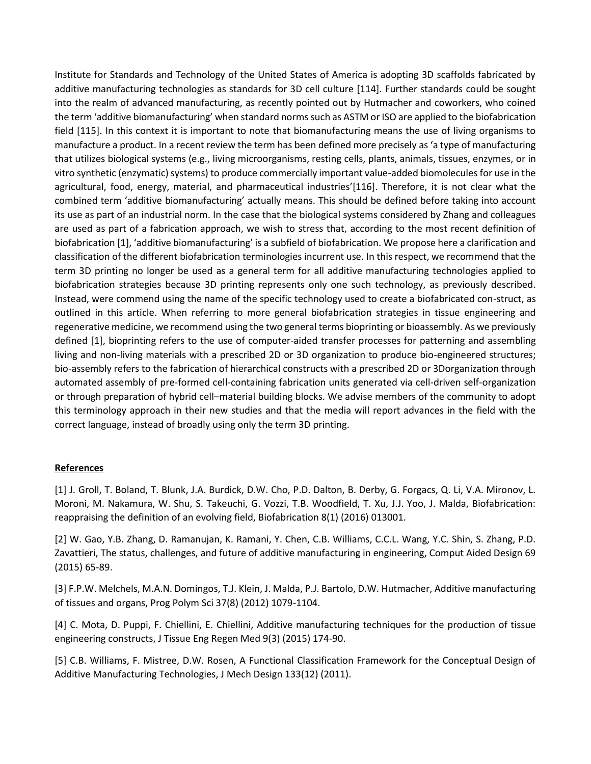Institute for Standards and Technology of the United States of America is adopting 3D scaffolds fabricated by additive manufacturing technologies as standards for 3D cell culture [114]. Further standards could be sought into the realm of advanced manufacturing, as recently pointed out by Hutmacher and coworkers, who coined the term 'additive biomanufacturing' when standard norms such as ASTM or ISO are applied to the biofabrication field [115]. In this context it is important to note that biomanufacturing means the use of living organisms to manufacture a product. In a recent review the term has been defined more precisely as 'a type of manufacturing that utilizes biological systems (e.g., living microorganisms, resting cells, plants, animals, tissues, enzymes, or in vitro synthetic (enzymatic) systems) to produce commercially important value-added biomolecules for use in the agricultural, food, energy, material, and pharmaceutical industries'[116]. Therefore, it is not clear what the combined term 'additive biomanufacturing' actually means. This should be defined before taking into account its use as part of an industrial norm. In the case that the biological systems considered by Zhang and colleagues are used as part of a fabrication approach, we wish to stress that, according to the most recent definition of biofabrication [1], 'additive biomanufacturing' is a subfield of biofabrication. We propose here a clarification and classification of the different biofabrication terminologies incurrent use. In this respect, we recommend that the term 3D printing no longer be used as a general term for all additive manufacturing technologies applied to biofabrication strategies because 3D printing represents only one such technology, as previously described. Instead, were commend using the name of the specific technology used to create a biofabricated con-struct, as outlined in this article. When referring to more general biofabrication strategies in tissue engineering and regenerative medicine, we recommend using the two general terms bioprinting or bioassembly. As we previously defined [1], bioprinting refers to the use of computer-aided transfer processes for patterning and assembling living and non-living materials with a prescribed 2D or 3D organization to produce bio-engineered structures; bio-assembly refers to the fabrication of hierarchical constructs with a prescribed 2D or 3Dorganization through automated assembly of pre-formed cell-containing fabrication units generated via cell-driven self-organization or through preparation of hybrid cell–material building blocks. We advise members of the community to adopt this terminology approach in their new studies and that the media will report advances in the field with the correct language, instead of broadly using only the term 3D printing.

## **References**

[1] J. Groll, T. Boland, T. Blunk, J.A. Burdick, D.W. Cho, P.D. Dalton, B. Derby, G. Forgacs, Q. Li, V.A. Mironov, L. Moroni, M. Nakamura, W. Shu, S. Takeuchi, G. Vozzi, T.B. Woodfield, T. Xu, J.J. Yoo, J. Malda, Biofabrication: reappraising the definition of an evolving field, Biofabrication 8(1) (2016) 013001.

[2] W. Gao, Y.B. Zhang, D. Ramanujan, K. Ramani, Y. Chen, C.B. Williams, C.C.L. Wang, Y.C. Shin, S. Zhang, P.D. Zavattieri, The status, challenges, and future of additive manufacturing in engineering, Comput Aided Design 69 (2015) 65-89.

[3] F.P.W. Melchels, M.A.N. Domingos, T.J. Klein, J. Malda, P.J. Bartolo, D.W. Hutmacher, Additive manufacturing of tissues and organs, Prog Polym Sci 37(8) (2012) 1079-1104.

[4] C. Mota, D. Puppi, F. Chiellini, E. Chiellini, Additive manufacturing techniques for the production of tissue engineering constructs, J Tissue Eng Regen Med 9(3) (2015) 174-90.

[5] C.B. Williams, F. Mistree, D.W. Rosen, A Functional Classification Framework for the Conceptual Design of Additive Manufacturing Technologies, J Mech Design 133(12) (2011).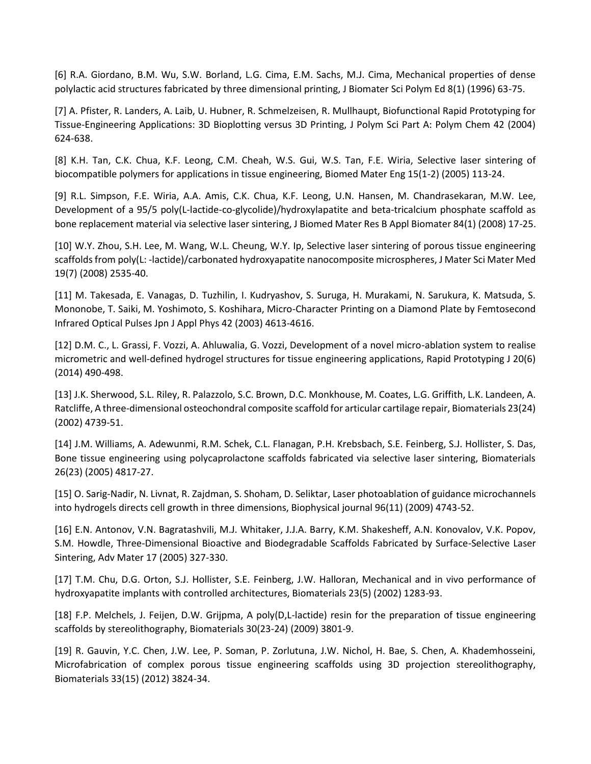[6] R.A. Giordano, B.M. Wu, S.W. Borland, L.G. Cima, E.M. Sachs, M.J. Cima, Mechanical properties of dense polylactic acid structures fabricated by three dimensional printing, J Biomater Sci Polym Ed 8(1) (1996) 63-75.

[7] A. Pfister, R. Landers, A. Laib, U. Hubner, R. Schmelzeisen, R. Mullhaupt, Biofunctional Rapid Prototyping for Tissue-Engineering Applications: 3D Bioplotting versus 3D Printing, J Polym Sci Part A: Polym Chem 42 (2004) 624-638.

[8] K.H. Tan, C.K. Chua, K.F. Leong, C.M. Cheah, W.S. Gui, W.S. Tan, F.E. Wiria, Selective laser sintering of biocompatible polymers for applications in tissue engineering, Biomed Mater Eng 15(1-2) (2005) 113-24.

[9] R.L. Simpson, F.E. Wiria, A.A. Amis, C.K. Chua, K.F. Leong, U.N. Hansen, M. Chandrasekaran, M.W. Lee, Development of a 95/5 poly(L-lactide-co-glycolide)/hydroxylapatite and beta-tricalcium phosphate scaffold as bone replacement material via selective laser sintering, J Biomed Mater Res B Appl Biomater 84(1) (2008) 17-25.

[10] W.Y. Zhou, S.H. Lee, M. Wang, W.L. Cheung, W.Y. Ip, Selective laser sintering of porous tissue engineering scaffolds from poly(L: -lactide)/carbonated hydroxyapatite nanocomposite microspheres, J Mater Sci Mater Med 19(7) (2008) 2535-40.

[11] M. Takesada, E. Vanagas, D. Tuzhilin, I. Kudryashov, S. Suruga, H. Murakami, N. Sarukura, K. Matsuda, S. Mononobe, T. Saiki, M. Yoshimoto, S. Koshihara, Micro-Character Printing on a Diamond Plate by Femtosecond Infrared Optical Pulses Jpn J Appl Phys 42 (2003) 4613-4616.

[12] D.M. C., L. Grassi, F. Vozzi, A. Ahluwalia, G. Vozzi, Development of a novel micro-ablation system to realise micrometric and well-defined hydrogel structures for tissue engineering applications, Rapid Prototyping J 20(6) (2014) 490-498.

[13] J.K. Sherwood, S.L. Riley, R. Palazzolo, S.C. Brown, D.C. Monkhouse, M. Coates, L.G. Griffith, L.K. Landeen, A. Ratcliffe, A three-dimensional osteochondral composite scaffold for articular cartilage repair, Biomaterials 23(24) (2002) 4739-51.

[14] J.M. Williams, A. Adewunmi, R.M. Schek, C.L. Flanagan, P.H. Krebsbach, S.E. Feinberg, S.J. Hollister, S. Das, Bone tissue engineering using polycaprolactone scaffolds fabricated via selective laser sintering, Biomaterials 26(23) (2005) 4817-27.

[15] O. Sarig-Nadir, N. Livnat, R. Zajdman, S. Shoham, D. Seliktar, Laser photoablation of guidance microchannels into hydrogels directs cell growth in three dimensions, Biophysical journal 96(11) (2009) 4743-52.

[16] E.N. Antonov, V.N. Bagratashvili, M.J. Whitaker, J.J.A. Barry, K.M. Shakesheff, A.N. Konovalov, V.K. Popov, S.M. Howdle, Three-Dimensional Bioactive and Biodegradable Scaffolds Fabricated by Surface-Selective Laser Sintering, Adv Mater 17 (2005) 327-330.

[17] T.M. Chu, D.G. Orton, S.J. Hollister, S.E. Feinberg, J.W. Halloran, Mechanical and in vivo performance of hydroxyapatite implants with controlled architectures, Biomaterials 23(5) (2002) 1283-93.

[18] F.P. Melchels, J. Feijen, D.W. Grijpma, A poly(D,L-lactide) resin for the preparation of tissue engineering scaffolds by stereolithography, Biomaterials 30(23-24) (2009) 3801-9.

[19] R. Gauvin, Y.C. Chen, J.W. Lee, P. Soman, P. Zorlutuna, J.W. Nichol, H. Bae, S. Chen, A. Khademhosseini, Microfabrication of complex porous tissue engineering scaffolds using 3D projection stereolithography, Biomaterials 33(15) (2012) 3824-34.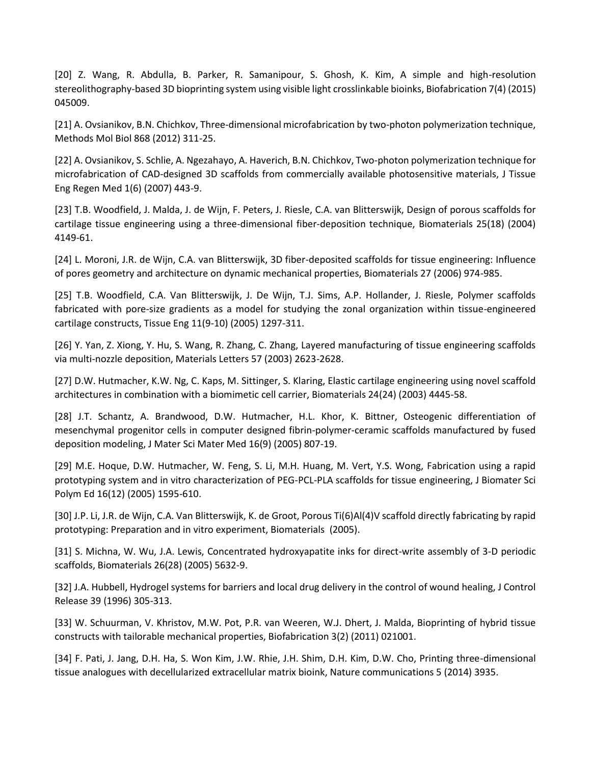[20] Z. Wang, R. Abdulla, B. Parker, R. Samanipour, S. Ghosh, K. Kim, A simple and high-resolution stereolithography-based 3D bioprinting system using visible light crosslinkable bioinks, Biofabrication 7(4) (2015) 045009.

[21] A. Ovsianikov, B.N. Chichkov, Three-dimensional microfabrication by two-photon polymerization technique, Methods Mol Biol 868 (2012) 311-25.

[22] A. Ovsianikov, S. Schlie, A. Ngezahayo, A. Haverich, B.N. Chichkov, Two-photon polymerization technique for microfabrication of CAD-designed 3D scaffolds from commercially available photosensitive materials, J Tissue Eng Regen Med 1(6) (2007) 443-9.

[23] T.B. Woodfield, J. Malda, J. de Wijn, F. Peters, J. Riesle, C.A. van Blitterswijk, Design of porous scaffolds for cartilage tissue engineering using a three-dimensional fiber-deposition technique, Biomaterials 25(18) (2004) 4149-61.

[24] L. Moroni, J.R. de Wijn, C.A. van Blitterswijk, 3D fiber-deposited scaffolds for tissue engineering: Influence of pores geometry and architecture on dynamic mechanical properties, Biomaterials 27 (2006) 974-985.

[25] T.B. Woodfield, C.A. Van Blitterswijk, J. De Wijn, T.J. Sims, A.P. Hollander, J. Riesle, Polymer scaffolds fabricated with pore-size gradients as a model for studying the zonal organization within tissue-engineered cartilage constructs, Tissue Eng 11(9-10) (2005) 1297-311.

[26] Y. Yan, Z. Xiong, Y. Hu, S. Wang, R. Zhang, C. Zhang, Layered manufacturing of tissue engineering scaffolds via multi-nozzle deposition, Materials Letters 57 (2003) 2623-2628.

[27] D.W. Hutmacher, K.W. Ng, C. Kaps, M. Sittinger, S. Klaring, Elastic cartilage engineering using novel scaffold architectures in combination with a biomimetic cell carrier, Biomaterials 24(24) (2003) 4445-58.

[28] J.T. Schantz, A. Brandwood, D.W. Hutmacher, H.L. Khor, K. Bittner, Osteogenic differentiation of mesenchymal progenitor cells in computer designed fibrin-polymer-ceramic scaffolds manufactured by fused deposition modeling, J Mater Sci Mater Med 16(9) (2005) 807-19.

[29] M.E. Hoque, D.W. Hutmacher, W. Feng, S. Li, M.H. Huang, M. Vert, Y.S. Wong, Fabrication using a rapid prototyping system and in vitro characterization of PEG-PCL-PLA scaffolds for tissue engineering, J Biomater Sci Polym Ed 16(12) (2005) 1595-610.

[30] J.P. Li, J.R. de Wijn, C.A. Van Blitterswijk, K. de Groot, Porous Ti(6)Al(4)V scaffold directly fabricating by rapid prototyping: Preparation and in vitro experiment, Biomaterials (2005).

[31] S. Michna, W. Wu, J.A. Lewis, Concentrated hydroxyapatite inks for direct-write assembly of 3-D periodic scaffolds, Biomaterials 26(28) (2005) 5632-9.

[32] J.A. Hubbell, Hydrogel systems for barriers and local drug delivery in the control of wound healing, J Control Release 39 (1996) 305-313.

[33] W. Schuurman, V. Khristov, M.W. Pot, P.R. van Weeren, W.J. Dhert, J. Malda, Bioprinting of hybrid tissue constructs with tailorable mechanical properties, Biofabrication 3(2) (2011) 021001.

[34] F. Pati, J. Jang, D.H. Ha, S. Won Kim, J.W. Rhie, J.H. Shim, D.H. Kim, D.W. Cho, Printing three-dimensional tissue analogues with decellularized extracellular matrix bioink, Nature communications 5 (2014) 3935.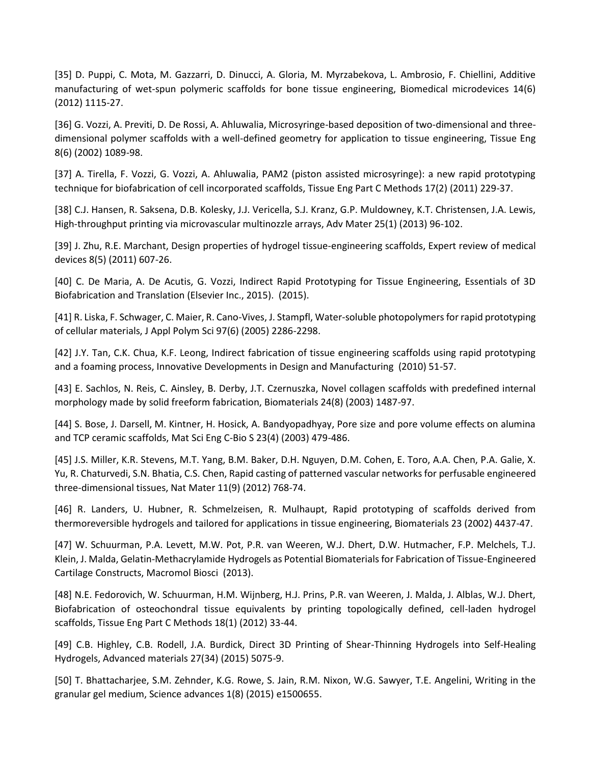[35] D. Puppi, C. Mota, M. Gazzarri, D. Dinucci, A. Gloria, M. Myrzabekova, L. Ambrosio, F. Chiellini, Additive manufacturing of wet-spun polymeric scaffolds for bone tissue engineering, Biomedical microdevices 14(6) (2012) 1115-27.

[36] G. Vozzi, A. Previti, D. De Rossi, A. Ahluwalia, Microsyringe-based deposition of two-dimensional and threedimensional polymer scaffolds with a well-defined geometry for application to tissue engineering, Tissue Eng 8(6) (2002) 1089-98.

[37] A. Tirella, F. Vozzi, G. Vozzi, A. Ahluwalia, PAM2 (piston assisted microsyringe): a new rapid prototyping technique for biofabrication of cell incorporated scaffolds, Tissue Eng Part C Methods 17(2) (2011) 229-37.

[38] C.J. Hansen, R. Saksena, D.B. Kolesky, J.J. Vericella, S.J. Kranz, G.P. Muldowney, K.T. Christensen, J.A. Lewis, High-throughput printing via microvascular multinozzle arrays, Adv Mater 25(1) (2013) 96-102.

[39] J. Zhu, R.E. Marchant, Design properties of hydrogel tissue-engineering scaffolds, Expert review of medical devices 8(5) (2011) 607-26.

[40] C. De Maria, A. De Acutis, G. Vozzi, Indirect Rapid Prototyping for Tissue Engineering, Essentials of 3D Biofabrication and Translation (Elsevier Inc., 2015). (2015).

[41] R. Liska, F. Schwager, C. Maier, R. Cano-Vives, J. Stampfl, Water-soluble photopolymers for rapid prototyping of cellular materials, J Appl Polym Sci 97(6) (2005) 2286-2298.

[42] J.Y. Tan, C.K. Chua, K.F. Leong, Indirect fabrication of tissue engineering scaffolds using rapid prototyping and a foaming process, Innovative Developments in Design and Manufacturing (2010) 51-57.

[43] E. Sachlos, N. Reis, C. Ainsley, B. Derby, J.T. Czernuszka, Novel collagen scaffolds with predefined internal morphology made by solid freeform fabrication, Biomaterials 24(8) (2003) 1487-97.

[44] S. Bose, J. Darsell, M. Kintner, H. Hosick, A. Bandyopadhyay, Pore size and pore volume effects on alumina and TCP ceramic scaffolds, Mat Sci Eng C-Bio S 23(4) (2003) 479-486.

[45] J.S. Miller, K.R. Stevens, M.T. Yang, B.M. Baker, D.H. Nguyen, D.M. Cohen, E. Toro, A.A. Chen, P.A. Galie, X. Yu, R. Chaturvedi, S.N. Bhatia, C.S. Chen, Rapid casting of patterned vascular networks for perfusable engineered three-dimensional tissues, Nat Mater 11(9) (2012) 768-74.

[46] R. Landers, U. Hubner, R. Schmelzeisen, R. Mulhaupt, Rapid prototyping of scaffolds derived from thermoreversible hydrogels and tailored for applications in tissue engineering, Biomaterials 23 (2002) 4437-47.

[47] W. Schuurman, P.A. Levett, M.W. Pot, P.R. van Weeren, W.J. Dhert, D.W. Hutmacher, F.P. Melchels, T.J. Klein, J. Malda, Gelatin-Methacrylamide Hydrogels as Potential Biomaterials for Fabrication of Tissue-Engineered Cartilage Constructs, Macromol Biosci (2013).

[48] N.E. Fedorovich, W. Schuurman, H.M. Wijnberg, H.J. Prins, P.R. van Weeren, J. Malda, J. Alblas, W.J. Dhert, Biofabrication of osteochondral tissue equivalents by printing topologically defined, cell-laden hydrogel scaffolds, Tissue Eng Part C Methods 18(1) (2012) 33-44.

[49] C.B. Highley, C.B. Rodell, J.A. Burdick, Direct 3D Printing of Shear-Thinning Hydrogels into Self-Healing Hydrogels, Advanced materials 27(34) (2015) 5075-9.

[50] T. Bhattacharjee, S.M. Zehnder, K.G. Rowe, S. Jain, R.M. Nixon, W.G. Sawyer, T.E. Angelini, Writing in the granular gel medium, Science advances 1(8) (2015) e1500655.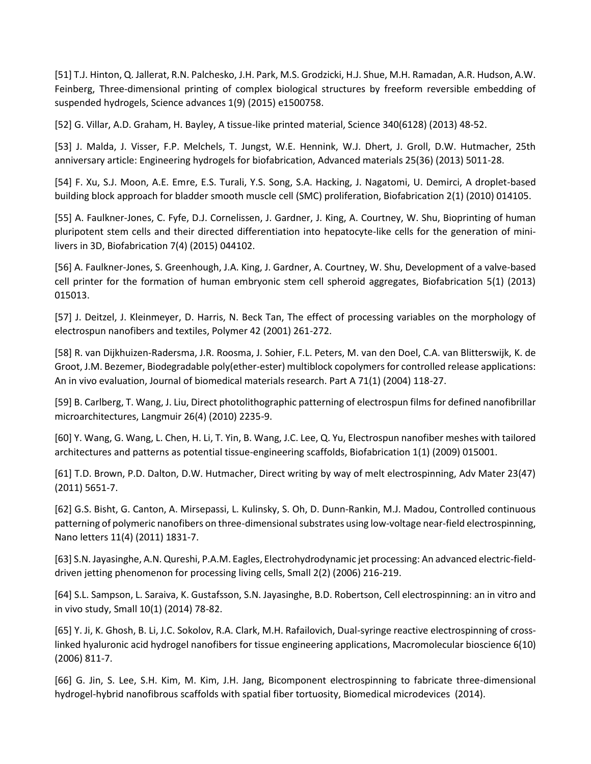[51] T.J. Hinton, Q. Jallerat, R.N. Palchesko, J.H. Park, M.S. Grodzicki, H.J. Shue, M.H. Ramadan, A.R. Hudson, A.W. Feinberg, Three-dimensional printing of complex biological structures by freeform reversible embedding of suspended hydrogels, Science advances 1(9) (2015) e1500758.

[52] G. Villar, A.D. Graham, H. Bayley, A tissue-like printed material, Science 340(6128) (2013) 48-52.

[53] J. Malda, J. Visser, F.P. Melchels, T. Jungst, W.E. Hennink, W.J. Dhert, J. Groll, D.W. Hutmacher, 25th anniversary article: Engineering hydrogels for biofabrication, Advanced materials 25(36) (2013) 5011-28.

[54] F. Xu, S.J. Moon, A.E. Emre, E.S. Turali, Y.S. Song, S.A. Hacking, J. Nagatomi, U. Demirci, A droplet-based building block approach for bladder smooth muscle cell (SMC) proliferation, Biofabrication 2(1) (2010) 014105.

[55] A. Faulkner-Jones, C. Fyfe, D.J. Cornelissen, J. Gardner, J. King, A. Courtney, W. Shu, Bioprinting of human pluripotent stem cells and their directed differentiation into hepatocyte-like cells for the generation of minilivers in 3D, Biofabrication 7(4) (2015) 044102.

[56] A. Faulkner-Jones, S. Greenhough, J.A. King, J. Gardner, A. Courtney, W. Shu, Development of a valve-based cell printer for the formation of human embryonic stem cell spheroid aggregates, Biofabrication 5(1) (2013) 015013.

[57] J. Deitzel, J. Kleinmeyer, D. Harris, N. Beck Tan, The effect of processing variables on the morphology of electrospun nanofibers and textiles, Polymer 42 (2001) 261-272.

[58] R. van Dijkhuizen-Radersma, J.R. Roosma, J. Sohier, F.L. Peters, M. van den Doel, C.A. van Blitterswijk, K. de Groot, J.M. Bezemer, Biodegradable poly(ether-ester) multiblock copolymers for controlled release applications: An in vivo evaluation, Journal of biomedical materials research. Part A 71(1) (2004) 118-27.

[59] B. Carlberg, T. Wang, J. Liu, Direct photolithographic patterning of electrospun films for defined nanofibrillar microarchitectures, Langmuir 26(4) (2010) 2235-9.

[60] Y. Wang, G. Wang, L. Chen, H. Li, T. Yin, B. Wang, J.C. Lee, Q. Yu, Electrospun nanofiber meshes with tailored architectures and patterns as potential tissue-engineering scaffolds, Biofabrication 1(1) (2009) 015001.

[61] T.D. Brown, P.D. Dalton, D.W. Hutmacher, Direct writing by way of melt electrospinning, Adv Mater 23(47) (2011) 5651-7.

[62] G.S. Bisht, G. Canton, A. Mirsepassi, L. Kulinsky, S. Oh, D. Dunn-Rankin, M.J. Madou, Controlled continuous patterning of polymeric nanofibers on three-dimensional substrates using low-voltage near-field electrospinning, Nano letters 11(4) (2011) 1831-7.

[63] S.N. Jayasinghe, A.N. Qureshi, P.A.M. Eagles, Electrohydrodynamic jet processing: An advanced electric-fielddriven jetting phenomenon for processing living cells, Small 2(2) (2006) 216-219.

[64] S.L. Sampson, L. Saraiva, K. Gustafsson, S.N. Jayasinghe, B.D. Robertson, Cell electrospinning: an in vitro and in vivo study, Small 10(1) (2014) 78-82.

[65] Y. Ji, K. Ghosh, B. Li, J.C. Sokolov, R.A. Clark, M.H. Rafailovich, Dual-syringe reactive electrospinning of crosslinked hyaluronic acid hydrogel nanofibers for tissue engineering applications, Macromolecular bioscience 6(10) (2006) 811-7.

[66] G. Jin, S. Lee, S.H. Kim, M. Kim, J.H. Jang, Bicomponent electrospinning to fabricate three-dimensional hydrogel-hybrid nanofibrous scaffolds with spatial fiber tortuosity, Biomedical microdevices (2014).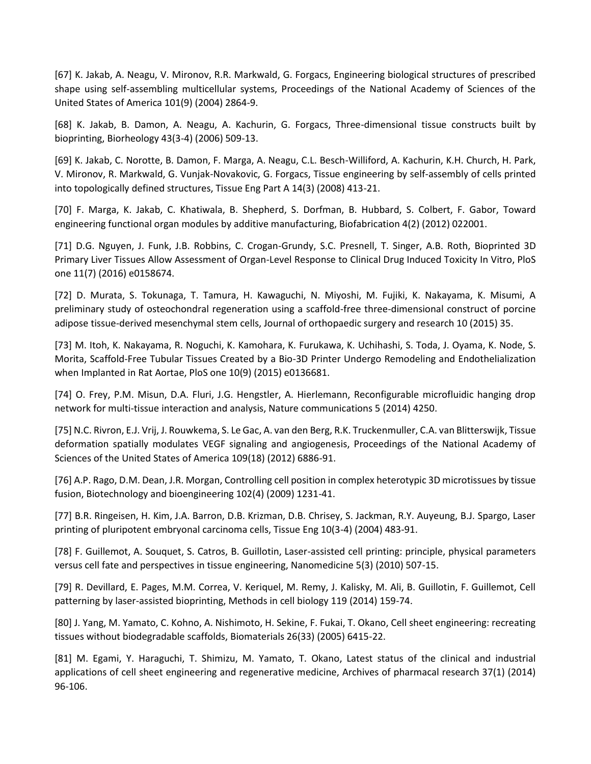[67] K. Jakab, A. Neagu, V. Mironov, R.R. Markwald, G. Forgacs, Engineering biological structures of prescribed shape using self-assembling multicellular systems, Proceedings of the National Academy of Sciences of the United States of America 101(9) (2004) 2864-9.

[68] K. Jakab, B. Damon, A. Neagu, A. Kachurin, G. Forgacs, Three-dimensional tissue constructs built by bioprinting, Biorheology 43(3-4) (2006) 509-13.

[69] K. Jakab, C. Norotte, B. Damon, F. Marga, A. Neagu, C.L. Besch-Williford, A. Kachurin, K.H. Church, H. Park, V. Mironov, R. Markwald, G. Vunjak-Novakovic, G. Forgacs, Tissue engineering by self-assembly of cells printed into topologically defined structures, Tissue Eng Part A 14(3) (2008) 413-21.

[70] F. Marga, K. Jakab, C. Khatiwala, B. Shepherd, S. Dorfman, B. Hubbard, S. Colbert, F. Gabor, Toward engineering functional organ modules by additive manufacturing, Biofabrication 4(2) (2012) 022001.

[71] D.G. Nguyen, J. Funk, J.B. Robbins, C. Crogan-Grundy, S.C. Presnell, T. Singer, A.B. Roth, Bioprinted 3D Primary Liver Tissues Allow Assessment of Organ-Level Response to Clinical Drug Induced Toxicity In Vitro, PloS one 11(7) (2016) e0158674.

[72] D. Murata, S. Tokunaga, T. Tamura, H. Kawaguchi, N. Miyoshi, M. Fujiki, K. Nakayama, K. Misumi, A preliminary study of osteochondral regeneration using a scaffold-free three-dimensional construct of porcine adipose tissue-derived mesenchymal stem cells, Journal of orthopaedic surgery and research 10 (2015) 35.

[73] M. Itoh, K. Nakayama, R. Noguchi, K. Kamohara, K. Furukawa, K. Uchihashi, S. Toda, J. Oyama, K. Node, S. Morita, Scaffold-Free Tubular Tissues Created by a Bio-3D Printer Undergo Remodeling and Endothelialization when Implanted in Rat Aortae, PloS one 10(9) (2015) e0136681.

[74] O. Frey, P.M. Misun, D.A. Fluri, J.G. Hengstler, A. Hierlemann, Reconfigurable microfluidic hanging drop network for multi-tissue interaction and analysis, Nature communications 5 (2014) 4250.

[75] N.C. Rivron, E.J. Vrij, J. Rouwkema, S. Le Gac, A. van den Berg, R.K. Truckenmuller, C.A. van Blitterswijk, Tissue deformation spatially modulates VEGF signaling and angiogenesis, Proceedings of the National Academy of Sciences of the United States of America 109(18) (2012) 6886-91.

[76] A.P. Rago, D.M. Dean, J.R. Morgan, Controlling cell position in complex heterotypic 3D microtissues by tissue fusion, Biotechnology and bioengineering 102(4) (2009) 1231-41.

[77] B.R. Ringeisen, H. Kim, J.A. Barron, D.B. Krizman, D.B. Chrisey, S. Jackman, R.Y. Auyeung, B.J. Spargo, Laser printing of pluripotent embryonal carcinoma cells, Tissue Eng 10(3-4) (2004) 483-91.

[78] F. Guillemot, A. Souquet, S. Catros, B. Guillotin, Laser-assisted cell printing: principle, physical parameters versus cell fate and perspectives in tissue engineering, Nanomedicine 5(3) (2010) 507-15.

[79] R. Devillard, E. Pages, M.M. Correa, V. Keriquel, M. Remy, J. Kalisky, M. Ali, B. Guillotin, F. Guillemot, Cell patterning by laser-assisted bioprinting, Methods in cell biology 119 (2014) 159-74.

[80] J. Yang, M. Yamato, C. Kohno, A. Nishimoto, H. Sekine, F. Fukai, T. Okano, Cell sheet engineering: recreating tissues without biodegradable scaffolds, Biomaterials 26(33) (2005) 6415-22.

[81] M. Egami, Y. Haraguchi, T. Shimizu, M. Yamato, T. Okano, Latest status of the clinical and industrial applications of cell sheet engineering and regenerative medicine, Archives of pharmacal research 37(1) (2014) 96-106.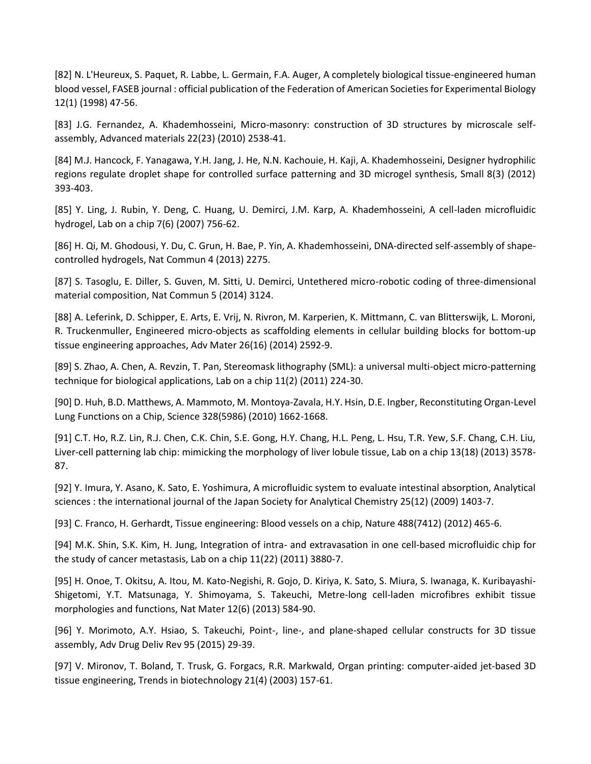[82] N. L'Heureux, S. Paquet, R. Labbe, L. Germain, F.A. Auger, A completely biological tissue-engineered human blood vessel, FASEB journal : official publication of the Federation of American Societies for Experimental Biology 12(1) (1998) 47-56.

[83] J.G. Fernandez, A. Khademhosseini, Micro-masonry: construction of 3D structures by microscale selfassembly, Advanced materials 22(23) (2010) 2538-41.

[84] M.J. Hancock, F. Yanagawa, Y.H. Jang, J. He, N.N. Kachouie, H. Kaji, A. Khademhosseini, Designer hydrophilic regions regulate droplet shape for controlled surface patterning and 3D microgel synthesis, Small 8(3) (2012) 393-403.

[85] Y. Ling, J. Rubin, Y. Deng, C. Huang, U. Demirci, J.M. Karp, A. Khademhosseini, A cell-laden microfluidic hydrogel, Lab on a chip 7(6) (2007) 756-62.

[86] H. Qi, M. Ghodousi, Y. Du, C. Grun, H. Bae, P. Yin, A. Khademhosseini, DNA-directed self-assembly of shapecontrolled hydrogels, Nat Commun 4 (2013) 2275.

[87] S. Tasoglu, E. Diller, S. Guven, M. Sitti, U. Demirci, Untethered micro-robotic coding of three-dimensional material composition, Nat Commun 5 (2014) 3124.

[88] A. Leferink, D. Schipper, E. Arts, E. Vrij, N. Rivron, M. Karperien, K. Mittmann, C. van Blitterswijk, L. Moroni, R. Truckenmuller, Engineered micro-objects as scaffolding elements in cellular building blocks for bottom-up tissue engineering approaches, Adv Mater 26(16) (2014) 2592-9.

[89] S. Zhao, A. Chen, A. Revzin, T. Pan, Stereomask lithography (SML): a universal multi-object micro-patterning technique for biological applications, Lab on a chip 11(2) (2011) 224-30.

[90] D. Huh, B.D. Matthews, A. Mammoto, M. Montoya-Zavala, H.Y. Hsin, D.E. Ingber, Reconstituting Organ-Level Lung Functions on a Chip, Science 328(5986) (2010) 1662-1668.

[91] C.T. Ho, R.Z. Lin, R.J. Chen, C.K. Chin, S.E. Gong, H.Y. Chang, H.L. Peng, L. Hsu, T.R. Yew, S.F. Chang, C.H. Liu, Liver-cell patterning lab chip: mimicking the morphology of liver lobule tissue, Lab on a chip 13(18) (2013) 3578- 87.

[92] Y. Imura, Y. Asano, K. Sato, E. Yoshimura, A microfluidic system to evaluate intestinal absorption, Analytical sciences : the international journal of the Japan Society for Analytical Chemistry 25(12) (2009) 1403-7.

[93] C. Franco, H. Gerhardt, Tissue engineering: Blood vessels on a chip, Nature 488(7412) (2012) 465-6.

[94] M.K. Shin, S.K. Kim, H. Jung, Integration of intra- and extravasation in one cell-based microfluidic chip for the study of cancer metastasis, Lab on a chip 11(22) (2011) 3880-7.

[95] H. Onoe, T. Okitsu, A. Itou, M. Kato-Negishi, R. Gojo, D. Kiriya, K. Sato, S. Miura, S. Iwanaga, K. Kuribayashi-Shigetomi, Y.T. Matsunaga, Y. Shimoyama, S. Takeuchi, Metre-long cell-laden microfibres exhibit tissue morphologies and functions, Nat Mater 12(6) (2013) 584-90.

[96] Y. Morimoto, A.Y. Hsiao, S. Takeuchi, Point-, line-, and plane-shaped cellular constructs for 3D tissue assembly, Adv Drug Deliv Rev 95 (2015) 29-39.

[97] V. Mironov, T. Boland, T. Trusk, G. Forgacs, R.R. Markwald, Organ printing: computer-aided jet-based 3D tissue engineering, Trends in biotechnology 21(4) (2003) 157-61.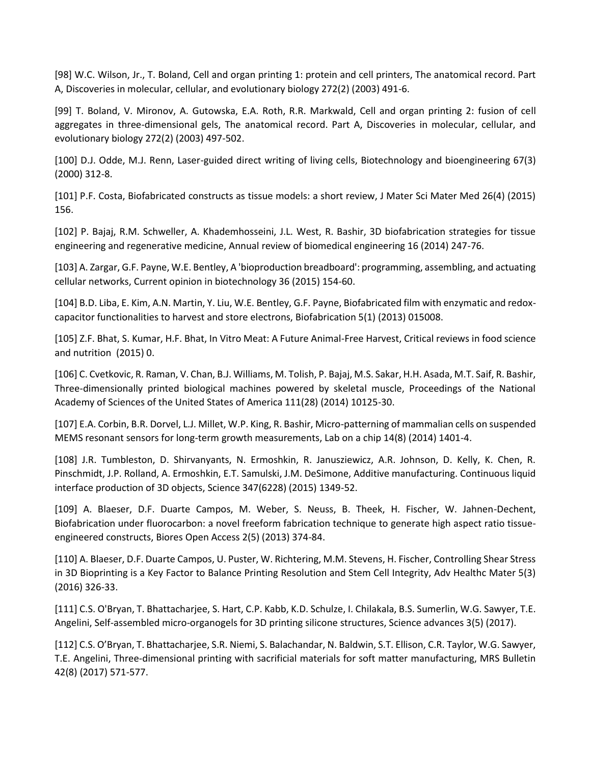[98] W.C. Wilson, Jr., T. Boland, Cell and organ printing 1: protein and cell printers, The anatomical record. Part A, Discoveries in molecular, cellular, and evolutionary biology 272(2) (2003) 491-6.

[99] T. Boland, V. Mironov, A. Gutowska, E.A. Roth, R.R. Markwald, Cell and organ printing 2: fusion of cell aggregates in three-dimensional gels, The anatomical record. Part A, Discoveries in molecular, cellular, and evolutionary biology 272(2) (2003) 497-502.

[100] D.J. Odde, M.J. Renn, Laser-guided direct writing of living cells, Biotechnology and bioengineering 67(3) (2000) 312-8.

[101] P.F. Costa, Biofabricated constructs as tissue models: a short review, J Mater Sci Mater Med 26(4) (2015) 156.

[102] P. Bajaj, R.M. Schweller, A. Khademhosseini, J.L. West, R. Bashir, 3D biofabrication strategies for tissue engineering and regenerative medicine, Annual review of biomedical engineering 16 (2014) 247-76.

[103] A. Zargar, G.F. Payne, W.E. Bentley, A 'bioproduction breadboard': programming, assembling, and actuating cellular networks, Current opinion in biotechnology 36 (2015) 154-60.

[104] B.D. Liba, E. Kim, A.N. Martin, Y. Liu, W.E. Bentley, G.F. Payne, Biofabricated film with enzymatic and redoxcapacitor functionalities to harvest and store electrons, Biofabrication 5(1) (2013) 015008.

[105] Z.F. Bhat, S. Kumar, H.F. Bhat, In Vitro Meat: A Future Animal-Free Harvest, Critical reviews in food science and nutrition (2015) 0.

[106] C. Cvetkovic, R. Raman, V. Chan, B.J. Williams, M. Tolish, P. Bajaj, M.S. Sakar, H.H. Asada, M.T. Saif, R. Bashir, Three-dimensionally printed biological machines powered by skeletal muscle, Proceedings of the National Academy of Sciences of the United States of America 111(28) (2014) 10125-30.

[107] E.A. Corbin, B.R. Dorvel, L.J. Millet, W.P. King, R. Bashir, Micro-patterning of mammalian cells on suspended MEMS resonant sensors for long-term growth measurements, Lab on a chip 14(8) (2014) 1401-4.

[108] J.R. Tumbleston, D. Shirvanyants, N. Ermoshkin, R. Janusziewicz, A.R. Johnson, D. Kelly, K. Chen, R. Pinschmidt, J.P. Rolland, A. Ermoshkin, E.T. Samulski, J.M. DeSimone, Additive manufacturing. Continuous liquid interface production of 3D objects, Science 347(6228) (2015) 1349-52.

[109] A. Blaeser, D.F. Duarte Campos, M. Weber, S. Neuss, B. Theek, H. Fischer, W. Jahnen-Dechent, Biofabrication under fluorocarbon: a novel freeform fabrication technique to generate high aspect ratio tissueengineered constructs, Biores Open Access 2(5) (2013) 374-84.

[110] A. Blaeser, D.F. Duarte Campos, U. Puster, W. Richtering, M.M. Stevens, H. Fischer, Controlling Shear Stress in 3D Bioprinting is a Key Factor to Balance Printing Resolution and Stem Cell Integrity, Adv Healthc Mater 5(3) (2016) 326-33.

[111] C.S. O'Bryan, T. Bhattacharjee, S. Hart, C.P. Kabb, K.D. Schulze, I. Chilakala, B.S. Sumerlin, W.G. Sawyer, T.E. Angelini, Self-assembled micro-organogels for 3D printing silicone structures, Science advances 3(5) (2017).

[112] C.S. O'Bryan, T. Bhattacharjee, S.R. Niemi, S. Balachandar, N. Baldwin, S.T. Ellison, C.R. Taylor, W.G. Sawyer, T.E. Angelini, Three-dimensional printing with sacrificial materials for soft matter manufacturing, MRS Bulletin 42(8) (2017) 571-577.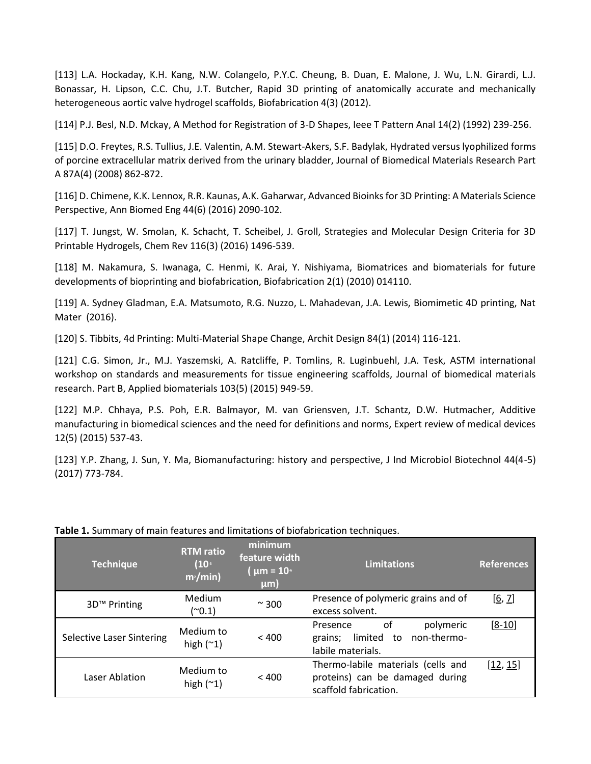[113] L.A. Hockaday, K.H. Kang, N.W. Colangelo, P.Y.C. Cheung, B. Duan, E. Malone, J. Wu, L.N. Girardi, L.J. Bonassar, H. Lipson, C.C. Chu, J.T. Butcher, Rapid 3D printing of anatomically accurate and mechanically heterogeneous aortic valve hydrogel scaffolds, Biofabrication 4(3) (2012).

[114] P.J. Besl, N.D. Mckay, A Method for Registration of 3-D Shapes, Ieee T Pattern Anal 14(2) (1992) 239-256.

[115] D.O. Freytes, R.S. Tullius, J.E. Valentin, A.M. Stewart-Akers, S.F. Badylak, Hydrated versus lyophilized forms of porcine extracellular matrix derived from the urinary bladder, Journal of Biomedical Materials Research Part A 87A(4) (2008) 862-872.

[116] D. Chimene, K.K. Lennox, R.R. Kaunas, A.K. Gaharwar, Advanced Bioinks for 3D Printing: A Materials Science Perspective, Ann Biomed Eng 44(6) (2016) 2090-102.

[117] T. Jungst, W. Smolan, K. Schacht, T. Scheibel, J. Groll, Strategies and Molecular Design Criteria for 3D Printable Hydrogels, Chem Rev 116(3) (2016) 1496-539.

[118] M. Nakamura, S. Iwanaga, C. Henmi, K. Arai, Y. Nishiyama, Biomatrices and biomaterials for future developments of bioprinting and biofabrication, Biofabrication 2(1) (2010) 014110.

[119] A. Sydney Gladman, E.A. Matsumoto, R.G. Nuzzo, L. Mahadevan, J.A. Lewis, Biomimetic 4D printing, Nat Mater (2016).

[120] S. Tibbits, 4d Printing: Multi-Material Shape Change, Archit Design 84(1) (2014) 116-121.

[121] C.G. Simon, Jr., M.J. Yaszemski, A. Ratcliffe, P. Tomlins, R. Luginbuehl, J.A. Tesk, ASTM international workshop on standards and measurements for tissue engineering scaffolds, Journal of biomedical materials research. Part B, Applied biomaterials 103(5) (2015) 949-59.

[122] M.P. Chhaya, P.S. Poh, E.R. Balmayor, M. van Griensven, J.T. Schantz, D.W. Hutmacher, Additive manufacturing in biomedical sciences and the need for definitions and norms, Expert review of medical devices 12(5) (2015) 537-43.

[123] Y.P. Zhang, J. Sun, Y. Ma, Biomanufacturing: history and perspective, J Ind Microbiol Biotechnol 44(4-5) (2017) 773-784.

| <b>Technique</b>                 | <b>RTM</b> ratio<br>(10 <sup>3</sup> )<br>m <sub>2</sub> /min) | minimum<br>feature width<br>$\sqrt{ \mu m} = 10$ <sup></sup><br>$\mu$ m) | <b>Limitations</b>                                                                             | <b>References</b> |
|----------------------------------|----------------------------------------------------------------|--------------------------------------------------------------------------|------------------------------------------------------------------------------------------------|-------------------|
| 3D <sup>™</sup> Printing         | Medium<br>$(^\sim 0.1)$                                        | $~\sim$ 300                                                              | Presence of polymeric grains and of<br>excess solvent.                                         | [6, 7]            |
| <b>Selective Laser Sintering</b> | Medium to<br>high $($ <sup>-1</sup> )                          | < 400                                                                    | 0f<br>polymeric<br>Presence<br>non-thermo-<br>limited to<br>grains;<br>labile materials.       | $[8 - 10]$        |
| Laser Ablation                   | Medium to<br>high $($ <sup>-1</sup> )                          | < 400                                                                    | Thermo-labile materials (cells and<br>proteins) can be damaged during<br>scaffold fabrication. | [12, 15]          |

## **Table 1.** Summary of main features and limitations of biofabrication techniques.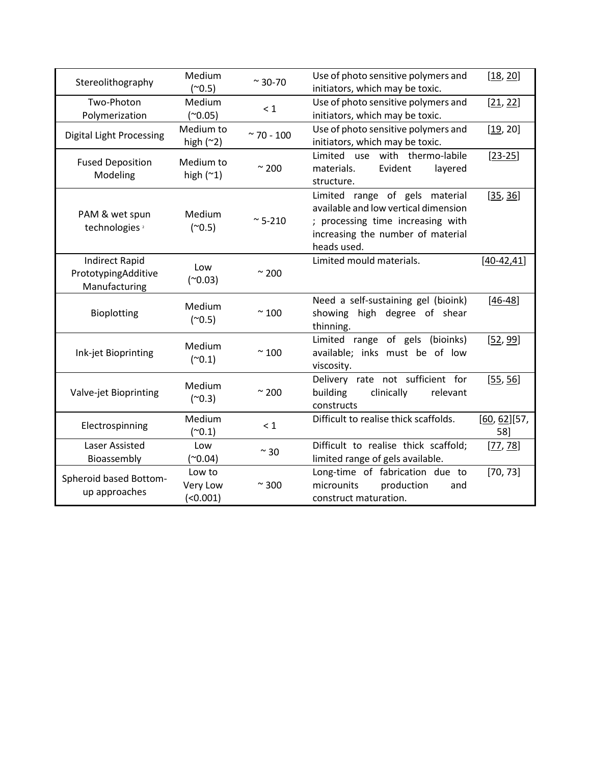| Stereolithography                                             | Medium<br>(°0.5)              | $~^{\sim}$ 30-70 | Use of photo sensitive polymers and<br>initiators, which may be toxic.                                                                                          | [18, 20]               |
|---------------------------------------------------------------|-------------------------------|------------------|-----------------------------------------------------------------------------------------------------------------------------------------------------------------|------------------------|
| Two-Photon<br>Polymerization                                  | Medium<br>$($ ~0.05)          | $\leq 1$         | Use of photo sensitive polymers and<br>initiators, which may be toxic.                                                                                          | [21, 22]               |
| <b>Digital Light Processing</b>                               | Medium to<br>high $(2)$       | $~70 - 100$      | Use of photo sensitive polymers and<br>initiators, which may be toxic.                                                                                          | [19, 20]               |
| <b>Fused Deposition</b><br>Modeling                           | Medium to<br>high $(2)$       | $~^{\sim}$ 200   | Limited use with thermo-labile<br>Evident<br>materials.<br>layered<br>structure.                                                                                | $[23 - 25]$            |
| PAM & wet spun<br>technologies <sup>2</sup>                   | Medium<br>$(^{o}0.5)$         | $~^{\sim}$ 5-210 | Limited range of gels material<br>available and low vertical dimension<br>; processing time increasing with<br>increasing the number of material<br>heads used. | [35, 36]               |
| <b>Indirect Rapid</b><br>PrototypingAdditive<br>Manufacturing | Low<br>$($ ~0.03)             | $~^{\sim}$ 200   | Limited mould materials.                                                                                                                                        | $[40-42, 41]$          |
| Bioplotting                                                   | <b>Medium</b><br>$(^{o}0.5)$  | $\sim$ 100       | Need a self-sustaining gel (bioink)<br>showing high degree of shear<br>thinning.                                                                                | $[46 - 48]$            |
| Ink-jet Bioprinting                                           | Medium<br>$($ ~0.1)           | $~\sim$ 100      | Limited range of gels (bioinks)<br>available; inks must be of low<br>viscosity.                                                                                 | [52, 99]               |
| Valve-jet Bioprinting                                         | Medium<br>$(^{o}0.3)$         | $~^{\sim}$ 200   | Delivery rate not sufficient for<br>building<br>clinically<br>relevant<br>constructs                                                                            | [55, 56]               |
| Electrospinning                                               | Medium<br>$($ ~0.1)           | $\leq 1$         | Difficult to realise thick scaffolds.                                                                                                                           | $[60, 62]$ [57,<br>58] |
| Laser Assisted<br>Bioassembly                                 | Low<br>(~0.04)                | $\sim$ 30        | Difficult to realise thick scaffold;<br>limited range of gels available.                                                                                        | [77, 78]               |
| Spheroid based Bottom-<br>up approaches                       | Low to<br>Very Low<br>(0.001) | $~\sim$ 300      | Long-time of fabrication due to<br>microunits<br>production<br>and<br>construct maturation.                                                                     | [70, 73]               |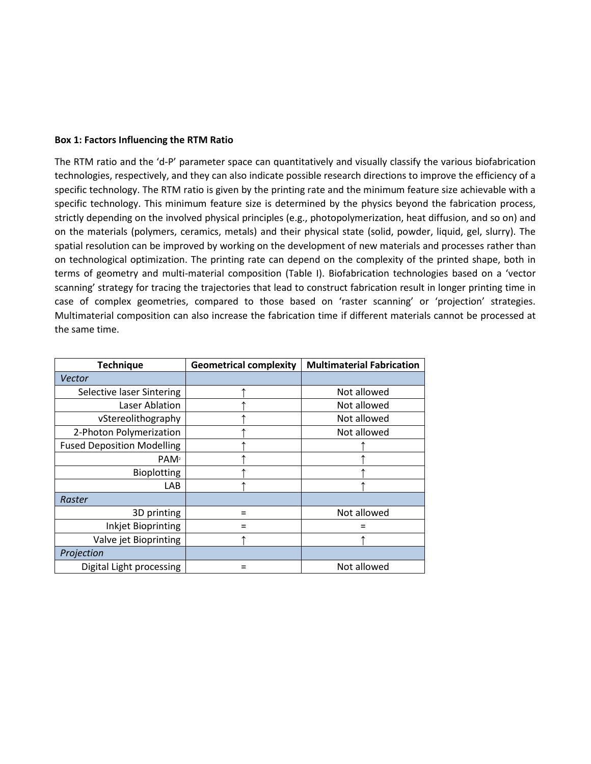### **Box 1: Factors Influencing the RTM Ratio**

The RTM ratio and the 'd-P' parameter space can quantitatively and visually classify the various biofabrication technologies, respectively, and they can also indicate possible research directions to improve the efficiency of a specific technology. The RTM ratio is given by the printing rate and the minimum feature size achievable with a specific technology. This minimum feature size is determined by the physics beyond the fabrication process, strictly depending on the involved physical principles (e.g., photopolymerization, heat diffusion, and so on) and on the materials (polymers, ceramics, metals) and their physical state (solid, powder, liquid, gel, slurry). The spatial resolution can be improved by working on the development of new materials and processes rather than on technological optimization. The printing rate can depend on the complexity of the printed shape, both in terms of geometry and multi-material composition (Table I). Biofabrication technologies based on a 'vector scanning' strategy for tracing the trajectories that lead to construct fabrication result in longer printing time in case of complex geometries, compared to those based on 'raster scanning' or 'projection' strategies. Multimaterial composition can also increase the fabrication time if different materials cannot be processed at the same time.

| <b>Technique</b>                  | <b>Geometrical complexity</b> | <b>Multimaterial Fabrication</b> |  |
|-----------------------------------|-------------------------------|----------------------------------|--|
| Vector                            |                               |                                  |  |
| Selective laser Sintering         |                               | Not allowed                      |  |
| <b>Laser Ablation</b>             |                               | Not allowed                      |  |
| vStereolithography                |                               | Not allowed                      |  |
| 2-Photon Polymerization           |                               | Not allowed                      |  |
| <b>Fused Deposition Modelling</b> |                               |                                  |  |
| PAM <sup>2</sup>                  |                               |                                  |  |
| <b>Bioplotting</b>                |                               |                                  |  |
| LAB                               |                               |                                  |  |
| Raster                            |                               |                                  |  |
| 3D printing                       |                               | Not allowed                      |  |
| <b>Inkjet Bioprinting</b>         | $=$                           |                                  |  |
| Valve jet Bioprinting             |                               |                                  |  |
| Projection                        |                               |                                  |  |
| Digital Light processing          |                               | Not allowed                      |  |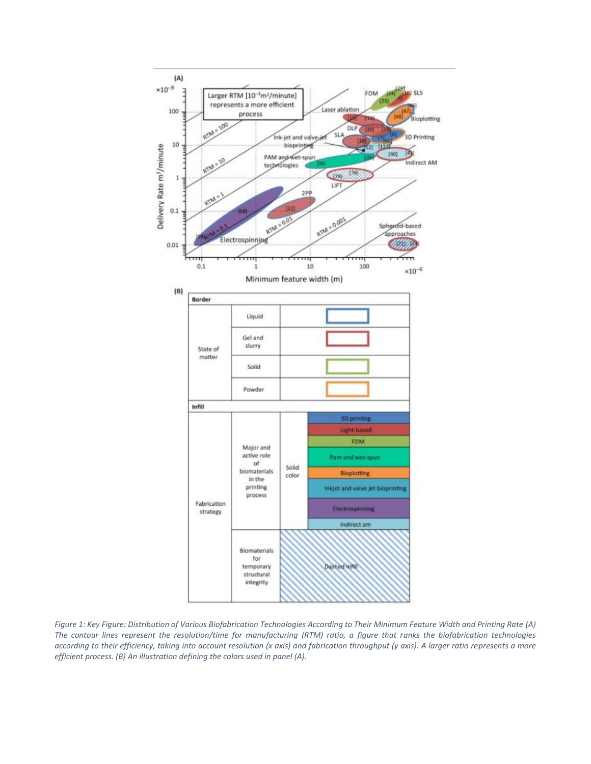

*Figure 1: Key Figure: Distribution of Various Biofabrication Technologies According to Their Minimum Feature Width and Printing Rate (A) The contour lines represent the resolution/time for manufacturing (RTM) ratio, a figure that ranks the biofabrication technologies according to their efficiency, taking into account resolution (x axis) and fabrication throughput (y axis). A larger ratio represents a more efficient process. (B) An illustration defining the colors used in panel (A).*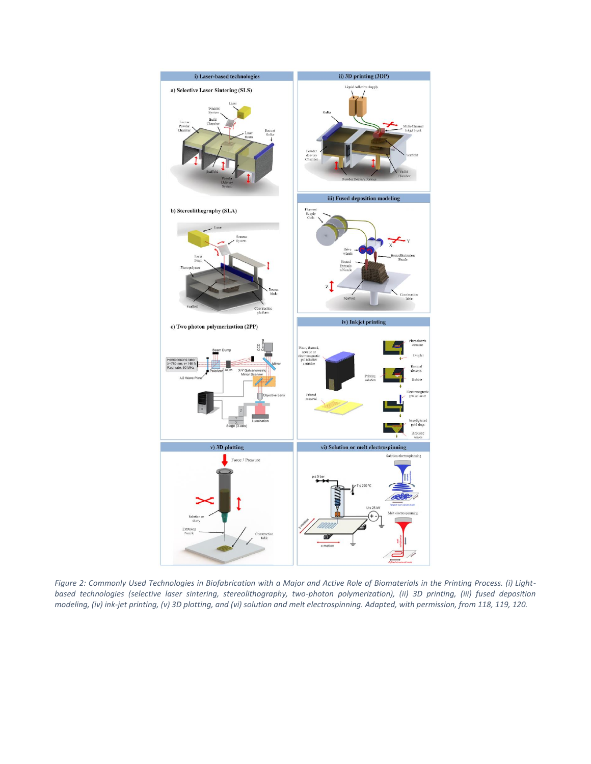

*Figure 2: Commonly Used Technologies in Biofabrication with a Major and Active Role of Biomaterials in the Printing Process. (i) Lightbased technologies (selective laser sintering, stereolithography, two-photon polymerization), (ii) 3D printing, (iii) fused deposition modeling, (iv) ink-jet printing, (v) 3D plotting, and (vi) solution and melt electrospinning. Adapted, with permission, from 118, 119, 120.*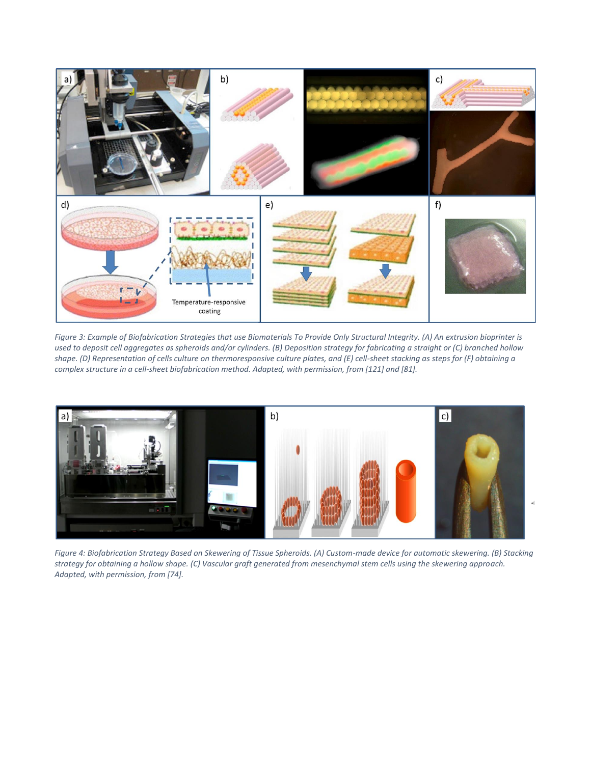

*Figure 3: Example of Biofabrication Strategies that use Biomaterials To Provide Only Structural Integrity. (A) An extrusion bioprinter is used to deposit cell aggregates as spheroids and/or cylinders. (B) Deposition strategy for fabricating a straight or (C) branched hollow shape. (D) Representation of cells culture on thermoresponsive culture plates, and (E) cell-sheet stacking as steps for (F) obtaining a complex structure in a cell-sheet biofabrication method. Adapted, with permission, from [121] and [81].*



*Figure 4: Biofabrication Strategy Based on Skewering of Tissue Spheroids. (A) Custom-made device for automatic skewering. (B) Stacking strategy for obtaining a hollow shape. (C) Vascular graft generated from mesenchymal stem cells using the skewering approach. Adapted, with permission, from [74].*